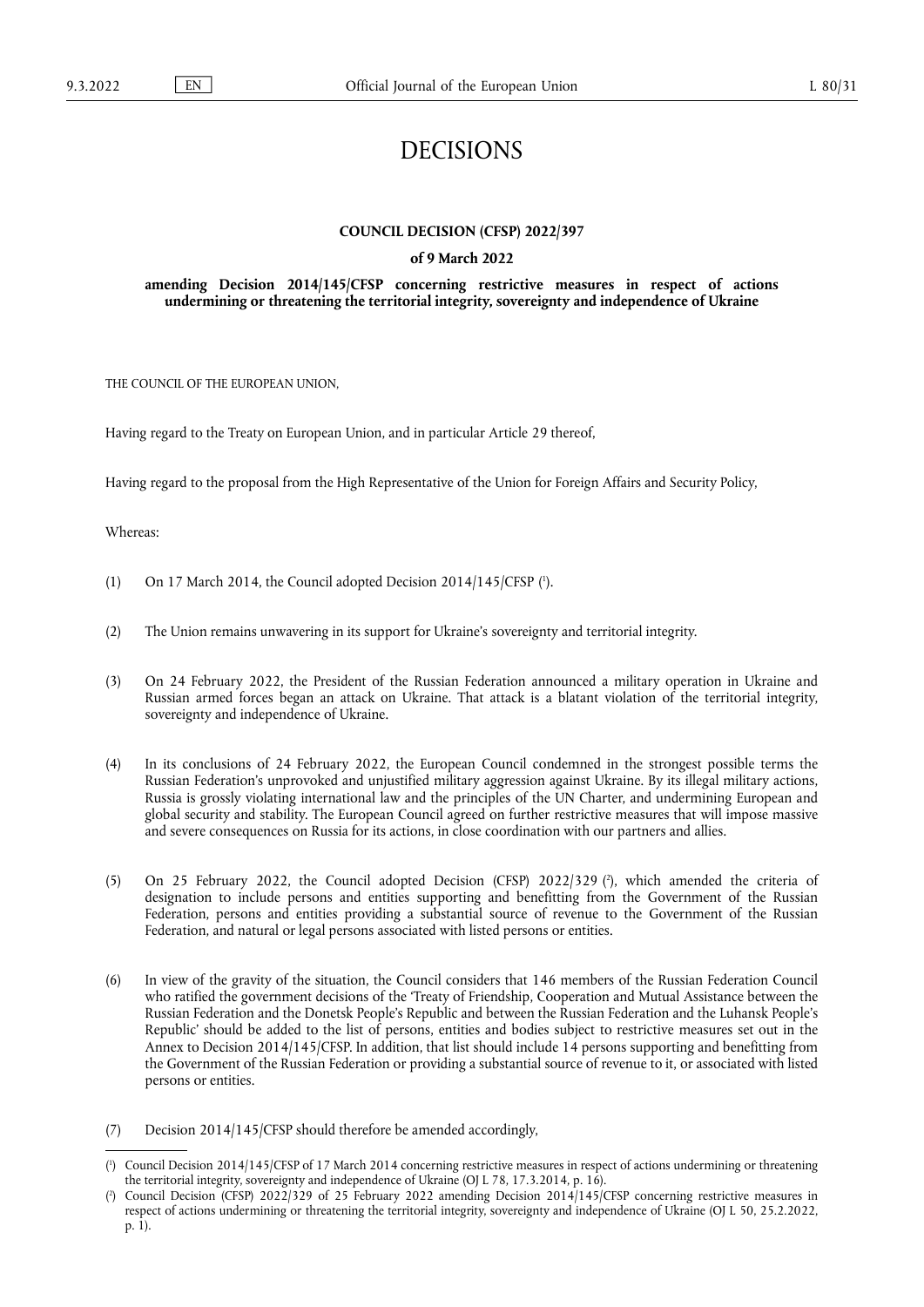# DECISIONS

### **COUNCIL DECISION (CFSP) 2022/397**

#### **of 9 March 2022**

### **amending Decision 2014/145/CFSP concerning restrictive measures in respect of actions undermining or threatening the territorial integrity, sovereignty and independence of Ukraine**

THE COUNCIL OF THE EUROPEAN UNION,

Having regard to the Treaty on European Union, and in particular Article 29 thereof,

Having regard to the proposal from the High Representative of the Union for Foreign Affairs and Security Policy,

Whereas:

- <span id="page-0-2"></span>(1) On 17 March 2014, the Council adopted Decision 2014/145/CFSP  $(1)$ .
- (2) The Union remains unwavering in its support for Ukraine's sovereignty and territorial integrity.
- (3) On 24 February 2022, the President of the Russian Federation announced a military operation in Ukraine and Russian armed forces began an attack on Ukraine. That attack is a blatant violation of the territorial integrity, sovereignty and independence of Ukraine.
- (4) In its conclusions of 24 February 2022, the European Council condemned in the strongest possible terms the Russian Federation's unprovoked and unjustified military aggression against Ukraine. By its illegal military actions, Russia is grossly violating international law and the principles of the UN Charter, and undermining European and global security and stability. The European Council agreed on further restrictive measures that will impose massive and severe consequences on Russia for its actions, in close coordination with our partners and allies.
- <span id="page-0-3"></span>(5) On 25 February 2022, the Council adopted Decision (CFSP) 2022/329 ( 2 [\),](#page-0-1) which amended the criteria of designation to include persons and entities supporting and benefitting from the Government of the Russian Federation, persons and entities providing a substantial source of revenue to the Government of the Russian Federation, and natural or legal persons associated with listed persons or entities.
- (6) In view of the gravity of the situation, the Council considers that 146 members of the Russian Federation Council who ratified the government decisions of the 'Treaty of Friendship, Cooperation and Mutual Assistance between the Russian Federation and the Donetsk People's Republic and between the Russian Federation and the Luhansk People's Republic' should be added to the list of persons, entities and bodies subject to restrictive measures set out in the Annex to Decision 2014/145/CFSP. In addition, that list should include 14 persons supporting and benefitting from the Government of the Russian Federation or providing a substantial source of revenue to it, or associated with listed persons or entities.
- (7) Decision 2014/145/CFSP should therefore be amended accordingly,

<span id="page-0-0"></span>[<sup>\(</sup>](#page-0-2) 1 ) Council Decision 2014/145/CFSP of 17 March 2014 concerning restrictive measures in respect of actions undermining or threatening the territorial integrity, sovereignty and independence of Ukraine (OJ L 78, 17.3.2014, p. 16).

<span id="page-0-1"></span>[<sup>\(</sup>](#page-0-3) 2 ) Council Decision (CFSP) 2022/329 of 25 February 2022 amending Decision 2014/145/CFSP concerning restrictive measures in respect of actions undermining or threatening the territorial integrity, sovereignty and independence of Ukraine (OJ L 50, 25.2.2022, p. 1).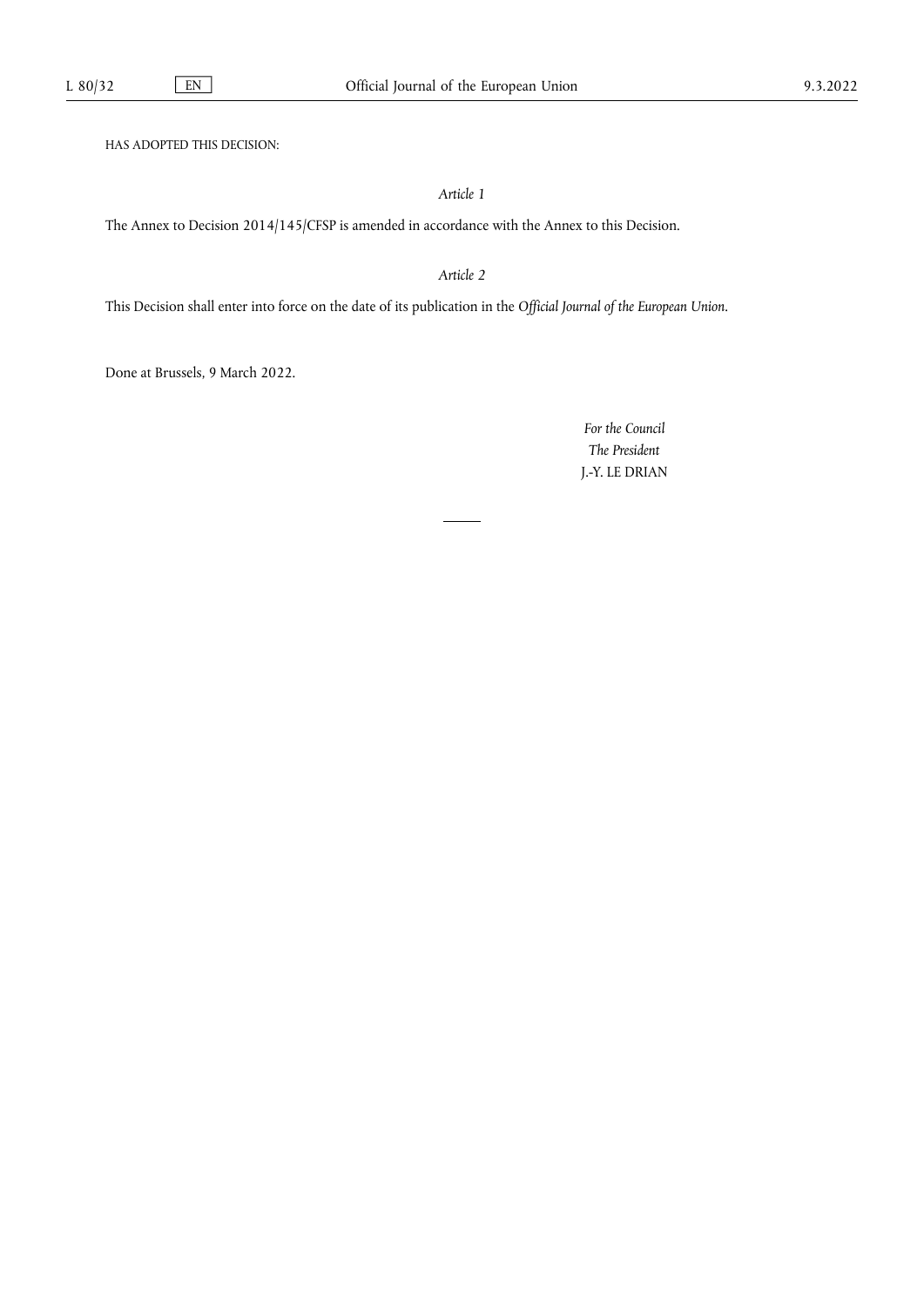HAS ADOPTED THIS DECISION:

## *Article 1*

The Annex to Decision 2014/145/CFSP is amended in accordance with the Annex to this Decision.

## *Article 2*

This Decision shall enter into force on the date of its publication in the *Official Journal of the European Union*.

Done at Brussels, 9 March 2022.

*For the Council The President* J.-Y. LE DRIAN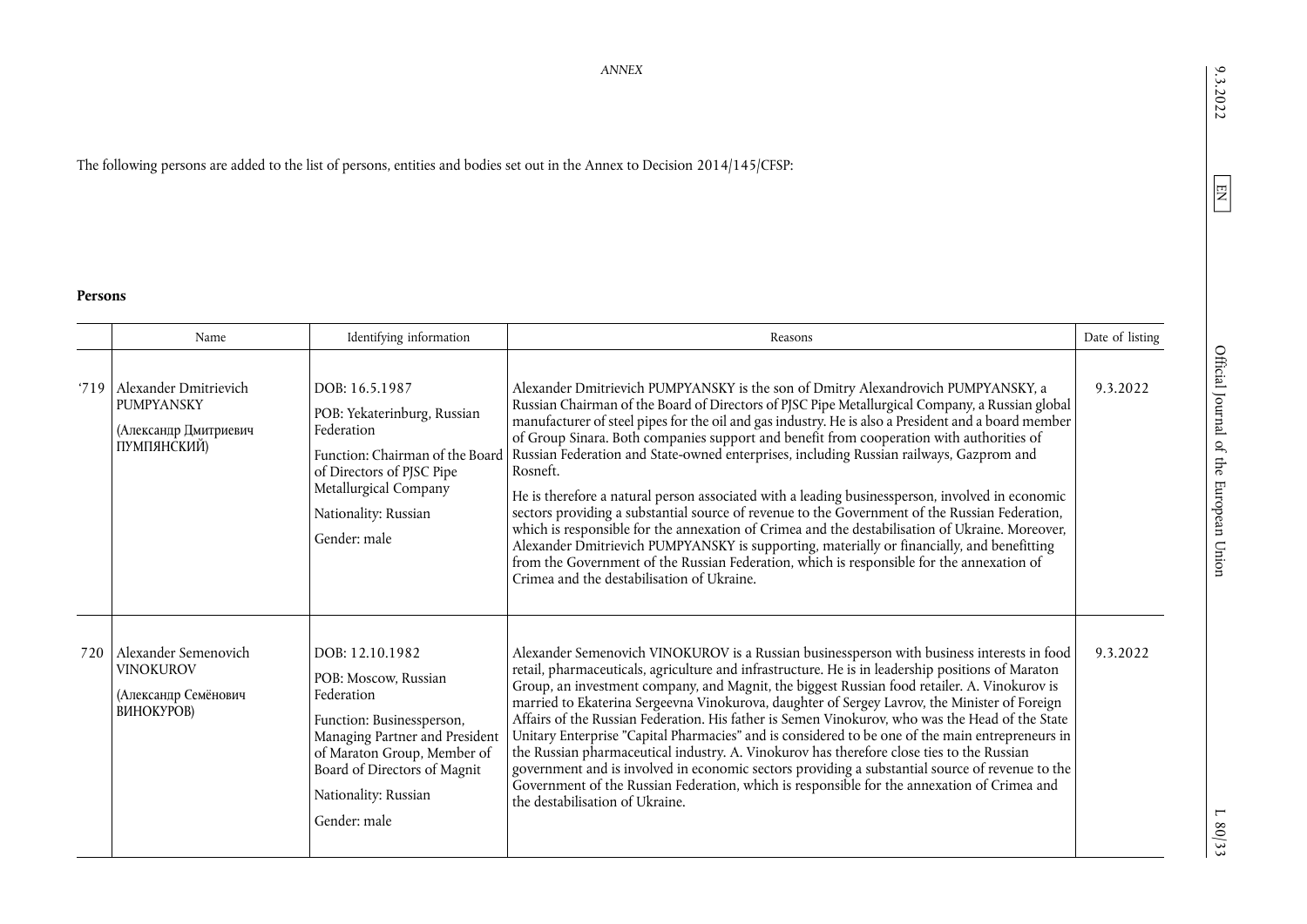The following persons are added to the list of persons, entities and bodies set out in the Annex to Decision 2014/145/CFSP:

#### **Persons**

|      | Name                                                                               | Identifying information                                                                                                                                                                                                     | Reasons                                                                                                                                                                                                                                                                                                                                                                                                                                                                                                                                                                                                                                                                                                                                                                                                                                                                                                                                                                                                                                         | Date of listing |
|------|------------------------------------------------------------------------------------|-----------------------------------------------------------------------------------------------------------------------------------------------------------------------------------------------------------------------------|-------------------------------------------------------------------------------------------------------------------------------------------------------------------------------------------------------------------------------------------------------------------------------------------------------------------------------------------------------------------------------------------------------------------------------------------------------------------------------------------------------------------------------------------------------------------------------------------------------------------------------------------------------------------------------------------------------------------------------------------------------------------------------------------------------------------------------------------------------------------------------------------------------------------------------------------------------------------------------------------------------------------------------------------------|-----------------|
| '719 | Alexander Dmitrievich<br><b>PUMPYANSKY</b><br>(Александр Дмитриевич<br>ПУМПЯНСКИЙ) | DOB: 16.5.1987<br>POB: Yekaterinburg, Russian<br>Federation<br>Function: Chairman of the Board<br>of Directors of PJSC Pipe<br>Metallurgical Company<br>Nationality: Russian<br>Gender: male                                | Alexander Dmitrievich PUMPYANSKY is the son of Dmitry Alexandrovich PUMPYANSKY, a<br>Russian Chairman of the Board of Directors of PJSC Pipe Metallurgical Company, a Russian global<br>manufacturer of steel pipes for the oil and gas industry. He is also a President and a board member<br>of Group Sinara. Both companies support and benefit from cooperation with authorities of<br>Russian Federation and State-owned enterprises, including Russian railways, Gazprom and<br>Rosneft.<br>He is therefore a natural person associated with a leading businessperson, involved in economic<br>sectors providing a substantial source of revenue to the Government of the Russian Federation,<br>which is responsible for the annexation of Crimea and the destabilisation of Ukraine. Moreover,<br>Alexander Dmitrievich PUMPYANSKY is supporting, materially or financially, and benefitting<br>from the Government of the Russian Federation, which is responsible for the annexation of<br>Crimea and the destabilisation of Ukraine. | 9.3.2022        |
| 720  | Alexander Semenovich<br><b>VINOKUROV</b><br>(Александр Семёнович<br>ВИНОКУРОВ)     | DOB: 12.10.1982<br>POB: Moscow. Russian<br>Federation<br>Function: Businessperson,<br>Managing Partner and President<br>of Maraton Group, Member of<br>Board of Directors of Magnit<br>Nationality: Russian<br>Gender: male | Alexander Semenovich VINOKUROV is a Russian businessperson with business interests in food<br>retail, pharmaceuticals, agriculture and infrastructure. He is in leadership positions of Maraton<br>Group, an investment company, and Magnit, the biggest Russian food retailer. A. Vinokurov is<br>married to Ekaterina Sergeevna Vinokurova, daughter of Sergey Lavrov, the Minister of Foreign<br>Affairs of the Russian Federation. His father is Semen Vinokurov, who was the Head of the State<br>Unitary Enterprise "Capital Pharmacies" and is considered to be one of the main entrepreneurs in<br>the Russian pharmaceutical industry. A. Vinokurov has therefore close ties to the Russian<br>government and is involved in economic sectors providing a substantial source of revenue to the<br>Government of the Russian Federation, which is responsible for the annexation of Crimea and<br>the destabilisation of Ukraine.                                                                                                       | 9.3.2022        |

 $9.3.2022$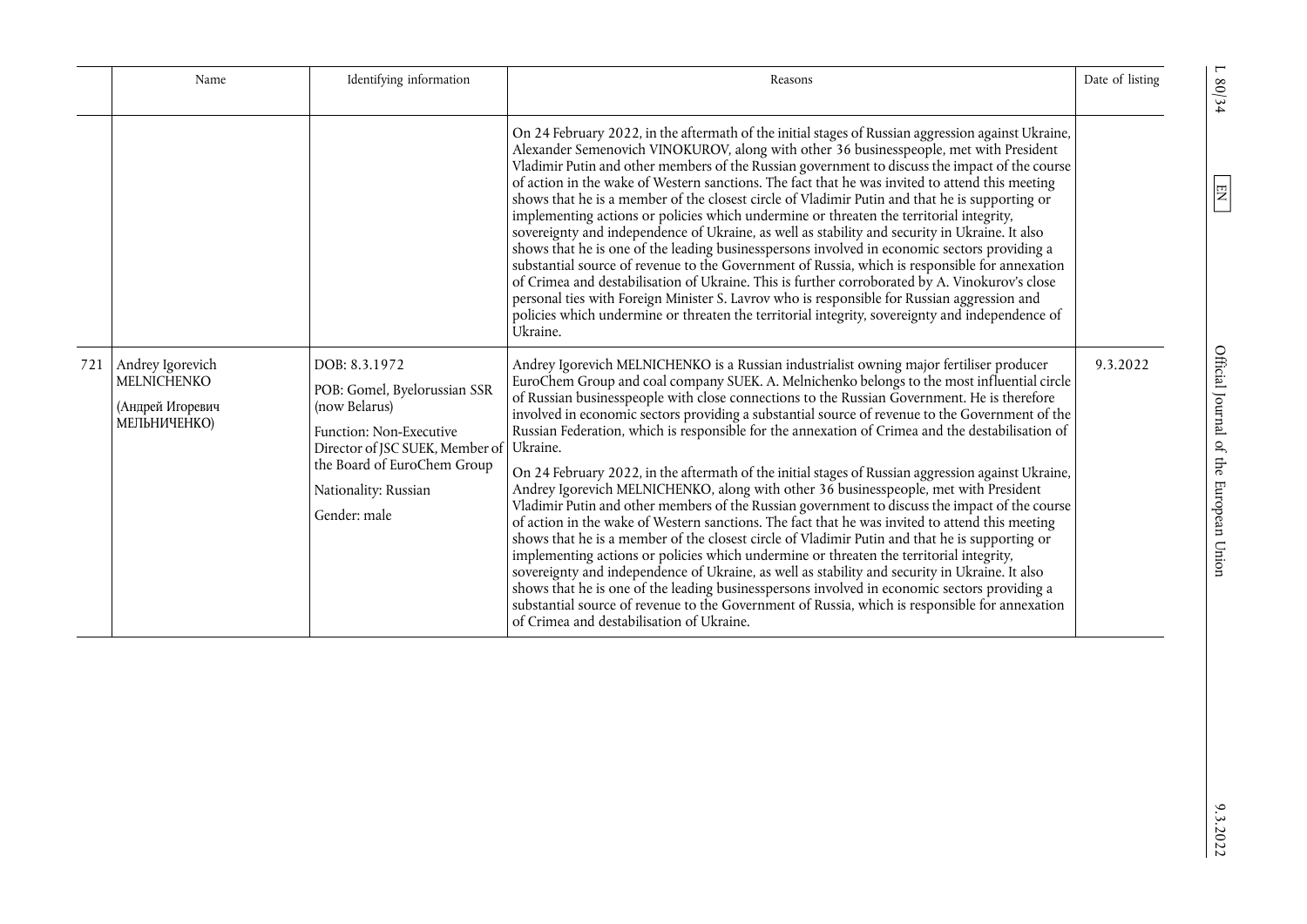| Name                                                                    | Identifying information                                                                                                                                                                             | Reasons                                                                                                                                                                                                                                                                                                                                                                                                                                                                                                                                                                                                                                                                                                                                                                                                                                                                                                                                                                                                                                                                                                                                                                                                                                                                                                                                                                                                                                                    | Date of listing |
|-------------------------------------------------------------------------|-----------------------------------------------------------------------------------------------------------------------------------------------------------------------------------------------------|------------------------------------------------------------------------------------------------------------------------------------------------------------------------------------------------------------------------------------------------------------------------------------------------------------------------------------------------------------------------------------------------------------------------------------------------------------------------------------------------------------------------------------------------------------------------------------------------------------------------------------------------------------------------------------------------------------------------------------------------------------------------------------------------------------------------------------------------------------------------------------------------------------------------------------------------------------------------------------------------------------------------------------------------------------------------------------------------------------------------------------------------------------------------------------------------------------------------------------------------------------------------------------------------------------------------------------------------------------------------------------------------------------------------------------------------------------|-----------------|
|                                                                         |                                                                                                                                                                                                     | On 24 February 2022, in the aftermath of the initial stages of Russian aggression against Ukraine,<br>Alexander Semenovich VINOKUROV, along with other 36 businesspeople, met with President<br>Vladimir Putin and other members of the Russian government to discuss the impact of the course<br>of action in the wake of Western sanctions. The fact that he was invited to attend this meeting<br>shows that he is a member of the closest circle of Vladimir Putin and that he is supporting or<br>implementing actions or policies which undermine or threaten the territorial integrity,<br>sovereignty and independence of Ukraine, as well as stability and security in Ukraine. It also<br>shows that he is one of the leading businesspersons involved in economic sectors providing a<br>substantial source of revenue to the Government of Russia, which is responsible for annexation<br>of Crimea and destabilisation of Ukraine. This is further corroborated by A. Vinokurov's close<br>personal ties with Foreign Minister S. Lavrov who is responsible for Russian aggression and<br>policies which undermine or threaten the territorial integrity, sovereignty and independence of<br>Ukraine.                                                                                                                                                                                                                                         |                 |
| 721 Andrey Igorevich<br>MELNICHENKO<br>(Андрей Игоревич<br>МЕЛЬНИЧЕНКО) | DOB: 8.3.1972<br>POB: Gomel, Byelorussian SSR<br>(now Belarus)<br>Function: Non-Executive<br>Director of JSC SUEK, Member of<br>the Board of EuroChem Group<br>Nationality: Russian<br>Gender: male | Andrey Igorevich MELNICHENKO is a Russian industrialist owning major fertiliser producer<br>EuroChem Group and coal company SUEK. A. Melnichenko belongs to the most influential circle<br>of Russian businesspeople with close connections to the Russian Government. He is therefore<br>involved in economic sectors providing a substantial source of revenue to the Government of the<br>Russian Federation, which is responsible for the annexation of Crimea and the destabilisation of<br>Ukraine.<br>On 24 February 2022, in the aftermath of the initial stages of Russian aggression against Ukraine,<br>Andrey Igorevich MELNICHENKO, along with other 36 businesspeople, met with President<br>Vladimir Putin and other members of the Russian government to discuss the impact of the course<br>of action in the wake of Western sanctions. The fact that he was invited to attend this meeting<br>shows that he is a member of the closest circle of Vladimir Putin and that he is supporting or<br>implementing actions or policies which undermine or threaten the territorial integrity,<br>sovereignty and independence of Ukraine, as well as stability and security in Ukraine. It also<br>shows that he is one of the leading businesspersons involved in economic sectors providing a<br>substantial source of revenue to the Government of Russia, which is responsible for annexation<br>of Crimea and destabilisation of Ukraine. | 9.3.2022        |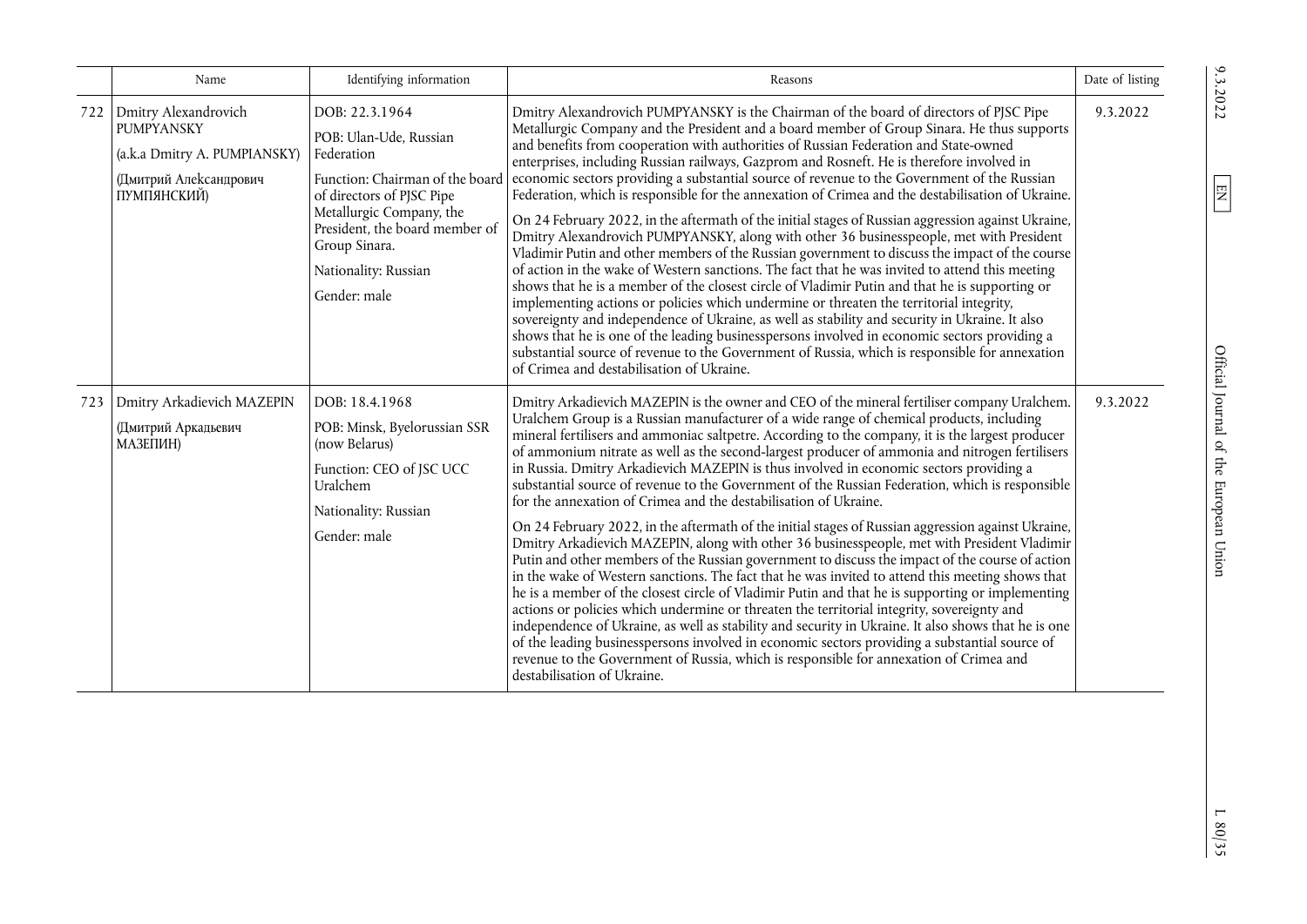|     | Name                                                                                                               | Identifying information                                                                                                                                                                                                                       | Reasons                                                                                                                                                                                                                                                                                                                                                                                                                                                                                                                                                                                                                                                                                                                                                                                                                                                                                                                                                                                                                                                                                                                                                                                                                                                                                                                                                                                                                                                                                                                                                                                                       | Date of listing |
|-----|--------------------------------------------------------------------------------------------------------------------|-----------------------------------------------------------------------------------------------------------------------------------------------------------------------------------------------------------------------------------------------|---------------------------------------------------------------------------------------------------------------------------------------------------------------------------------------------------------------------------------------------------------------------------------------------------------------------------------------------------------------------------------------------------------------------------------------------------------------------------------------------------------------------------------------------------------------------------------------------------------------------------------------------------------------------------------------------------------------------------------------------------------------------------------------------------------------------------------------------------------------------------------------------------------------------------------------------------------------------------------------------------------------------------------------------------------------------------------------------------------------------------------------------------------------------------------------------------------------------------------------------------------------------------------------------------------------------------------------------------------------------------------------------------------------------------------------------------------------------------------------------------------------------------------------------------------------------------------------------------------------|-----------------|
| 722 | Dmitry Alexandrovich<br><b>PUMPYANSKY</b><br>(a.k.a Dmitry A. PUMPIANSKY)<br>(Дмитрий Александрович<br>ПУМПЯНСКИЙ) | DOB: 22.3.1964<br>POB: Ulan-Ude, Russian<br>Federation<br>Function: Chairman of the board<br>of directors of PJSC Pipe<br>Metallurgic Company, the<br>President, the board member of<br>Group Sinara.<br>Nationality: Russian<br>Gender: male | Dmitry Alexandrovich PUMPYANSKY is the Chairman of the board of directors of PJSC Pipe<br>Metallurgic Company and the President and a board member of Group Sinara. He thus supports<br>and benefits from cooperation with authorities of Russian Federation and State-owned<br>enterprises, including Russian railways, Gazprom and Rosneft. He is therefore involved in<br>economic sectors providing a substantial source of revenue to the Government of the Russian<br>Federation, which is responsible for the annexation of Crimea and the destabilisation of Ukraine.<br>On 24 February 2022, in the aftermath of the initial stages of Russian aggression against Ukraine,<br>Dmitry Alexandrovich PUMPYANSKY, along with other 36 businesspeople, met with President<br>Vladimir Putin and other members of the Russian government to discuss the impact of the course<br>of action in the wake of Western sanctions. The fact that he was invited to attend this meeting<br>shows that he is a member of the closest circle of Vladimir Putin and that he is supporting or<br>implementing actions or policies which undermine or threaten the territorial integrity,<br>sovereignty and independence of Ukraine, as well as stability and security in Ukraine. It also<br>shows that he is one of the leading businesspersons involved in economic sectors providing a<br>substantial source of revenue to the Government of Russia, which is responsible for annexation<br>of Crimea and destabilisation of Ukraine.                                                                             | 9.3.2022        |
| 723 | Dmitry Arkadievich MAZEPIN<br>(Дмитрий Аркадьевич<br>МАЗЕПИН)                                                      | DOB: 18.4.1968<br>POB: Minsk, Byelorussian SSR<br>(now Belarus)<br>Function: CEO of JSC UCC<br>Uralchem<br>Nationality: Russian<br>Gender: male                                                                                               | Dmitry Arkadievich MAZEPIN is the owner and CEO of the mineral fertiliser company Uralchem.<br>Uralchem Group is a Russian manufacturer of a wide range of chemical products, including<br>mineral fertilisers and ammoniac saltpetre. According to the company, it is the largest producer<br>of ammonium nitrate as well as the second-largest producer of ammonia and nitrogen fertilisers<br>in Russia. Dmitry Arkadievich MAZEPIN is thus involved in economic sectors providing a<br>substantial source of revenue to the Government of the Russian Federation, which is responsible<br>for the annexation of Crimea and the destabilisation of Ukraine.<br>On 24 February 2022, in the aftermath of the initial stages of Russian aggression against Ukraine,<br>Dmitry Arkadievich MAZEPIN, along with other 36 businesspeople, met with President Vladimir<br>Putin and other members of the Russian government to discuss the impact of the course of action<br>in the wake of Western sanctions. The fact that he was invited to attend this meeting shows that<br>he is a member of the closest circle of Vladimir Putin and that he is supporting or implementing<br>actions or policies which undermine or threaten the territorial integrity, sovereignty and<br>independence of Ukraine, as well as stability and security in Ukraine. It also shows that he is one<br>of the leading businesspersons involved in economic sectors providing a substantial source of<br>revenue to the Government of Russia, which is responsible for annexation of Crimea and<br>destabilisation of Ukraine. | 9.3.2022        |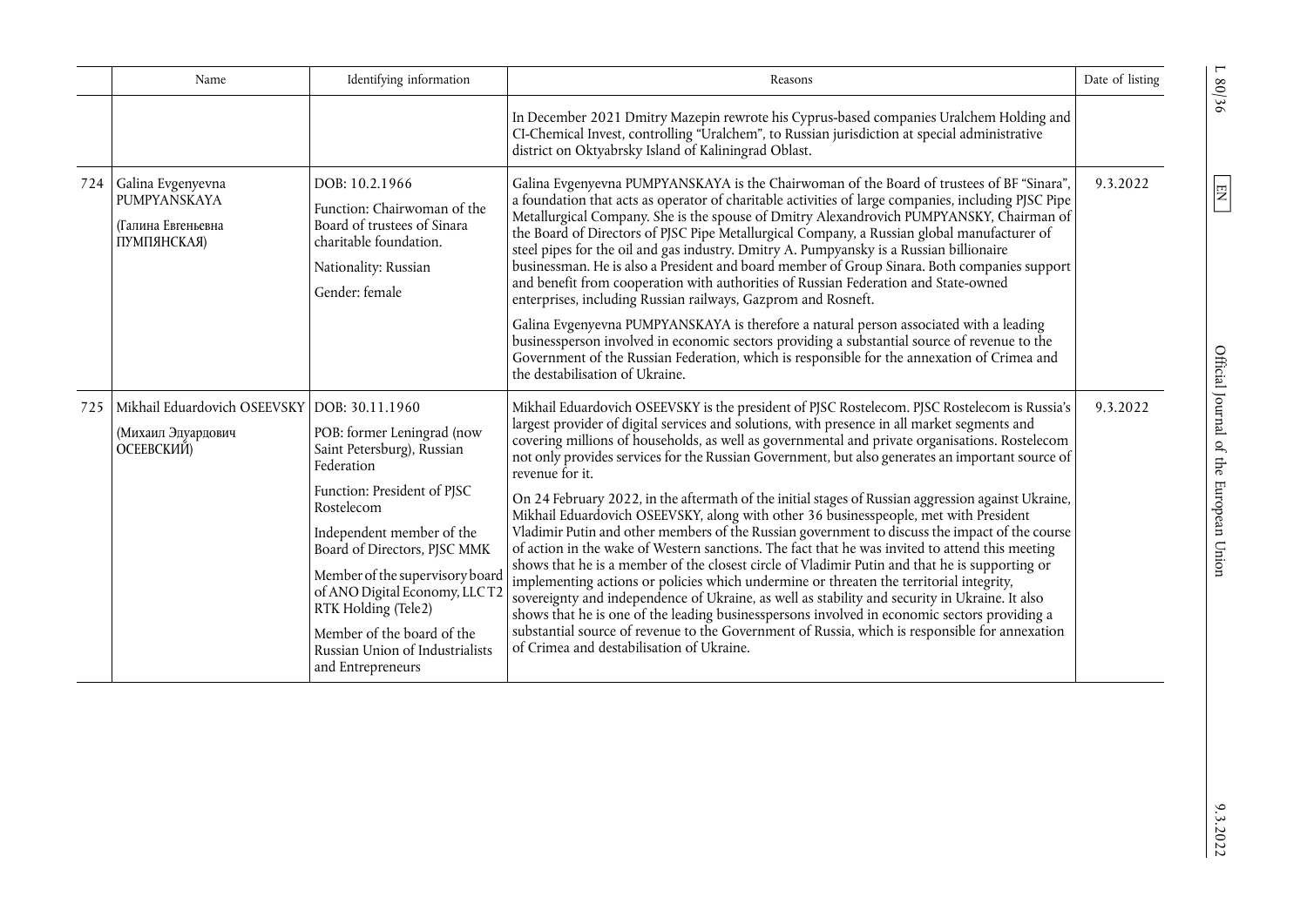|     | Name                                                                             | Identifying information                                                                                                                                                                                                                                                                                                                                           | Reasons                                                                                                                                                                                                                                                                                                                                                                                                                                                                                                                                                                                                                                                                                                                                                                                                                                                                                                                                                                                                                                                                                                                                                                                                                                                                                                                                                                 | Date of listing |
|-----|----------------------------------------------------------------------------------|-------------------------------------------------------------------------------------------------------------------------------------------------------------------------------------------------------------------------------------------------------------------------------------------------------------------------------------------------------------------|-------------------------------------------------------------------------------------------------------------------------------------------------------------------------------------------------------------------------------------------------------------------------------------------------------------------------------------------------------------------------------------------------------------------------------------------------------------------------------------------------------------------------------------------------------------------------------------------------------------------------------------------------------------------------------------------------------------------------------------------------------------------------------------------------------------------------------------------------------------------------------------------------------------------------------------------------------------------------------------------------------------------------------------------------------------------------------------------------------------------------------------------------------------------------------------------------------------------------------------------------------------------------------------------------------------------------------------------------------------------------|-----------------|
|     |                                                                                  |                                                                                                                                                                                                                                                                                                                                                                   | In December 2021 Dmitry Mazepin rewrote his Cyprus-based companies Uralchem Holding and<br>CI-Chemical Invest, controlling "Uralchem", to Russian jurisdiction at special administrative<br>district on Oktyabrsky Island of Kaliningrad Oblast.                                                                                                                                                                                                                                                                                                                                                                                                                                                                                                                                                                                                                                                                                                                                                                                                                                                                                                                                                                                                                                                                                                                        |                 |
| 724 | Galina Evgenyevna<br>PUMPYANSKAYA<br>(Галина Евгеньевна<br>ПУМПЯНСКАЯ)           | DOB: 10.2.1966<br>Function: Chairwoman of the<br>Board of trustees of Sinara<br>charitable foundation.<br>Nationality: Russian<br>Gender: female                                                                                                                                                                                                                  | Galina Evgenyevna PUMPYANSKAYA is the Chairwoman of the Board of trustees of BF "Sinara",<br>a foundation that acts as operator of charitable activities of large companies, including PJSC Pipe<br>Metallurgical Company. She is the spouse of Dmitry Alexandrovich PUMPYANSKY, Chairman of<br>the Board of Directors of PJSC Pipe Metallurgical Company, a Russian global manufacturer of<br>steel pipes for the oil and gas industry. Dmitry A. Pumpyansky is a Russian billionaire<br>businessman. He is also a President and board member of Group Sinara. Both companies support<br>and benefit from cooperation with authorities of Russian Federation and State-owned<br>enterprises, including Russian railways, Gazprom and Rosneft.                                                                                                                                                                                                                                                                                                                                                                                                                                                                                                                                                                                                                          | 9.3.2022        |
|     |                                                                                  |                                                                                                                                                                                                                                                                                                                                                                   | Galina Evgenyevna PUMPYANSKAYA is therefore a natural person associated with a leading<br>businessperson involved in economic sectors providing a substantial source of revenue to the<br>Government of the Russian Federation, which is responsible for the annexation of Crimea and<br>the destabilisation of Ukraine.                                                                                                                                                                                                                                                                                                                                                                                                                                                                                                                                                                                                                                                                                                                                                                                                                                                                                                                                                                                                                                                |                 |
| 725 | Mikhail Eduardovich OSEEVSKY DOB: 30.11.1960<br>(Михаил Эдуардович<br>ОСЕЕВСКИЙ) | POB: former Leningrad (now<br>Saint Petersburg), Russian<br>Federation<br>Function: President of PJSC<br>Rostelecom<br>Independent member of the<br>Board of Directors, PJSC MMK<br>Member of the supervisory board<br>of ANO Digital Economy, LLCT2<br>RTK Holding (Tele2)<br>Member of the board of the<br>Russian Union of Industrialists<br>and Entrepreneurs | Mikhail Eduardovich OSEEVSKY is the president of PJSC Rostelecom. PJSC Rostelecom is Russia's<br>largest provider of digital services and solutions, with presence in all market segments and<br>covering millions of households, as well as governmental and private organisations. Rostelecom<br>not only provides services for the Russian Government, but also generates an important source of<br>revenue for it.<br>On 24 February 2022, in the aftermath of the initial stages of Russian aggression against Ukraine,<br>Mikhail Eduardovich OSEEVSKY, along with other 36 businesspeople, met with President<br>Vladimir Putin and other members of the Russian government to discuss the impact of the course<br>of action in the wake of Western sanctions. The fact that he was invited to attend this meeting<br>shows that he is a member of the closest circle of Vladimir Putin and that he is supporting or<br>implementing actions or policies which undermine or threaten the territorial integrity,<br>sovereignty and independence of Ukraine, as well as stability and security in Ukraine. It also<br>shows that he is one of the leading businesspersons involved in economic sectors providing a<br>substantial source of revenue to the Government of Russia, which is responsible for annexation<br>of Crimea and destabilisation of Ukraine. | 9.3.2022        |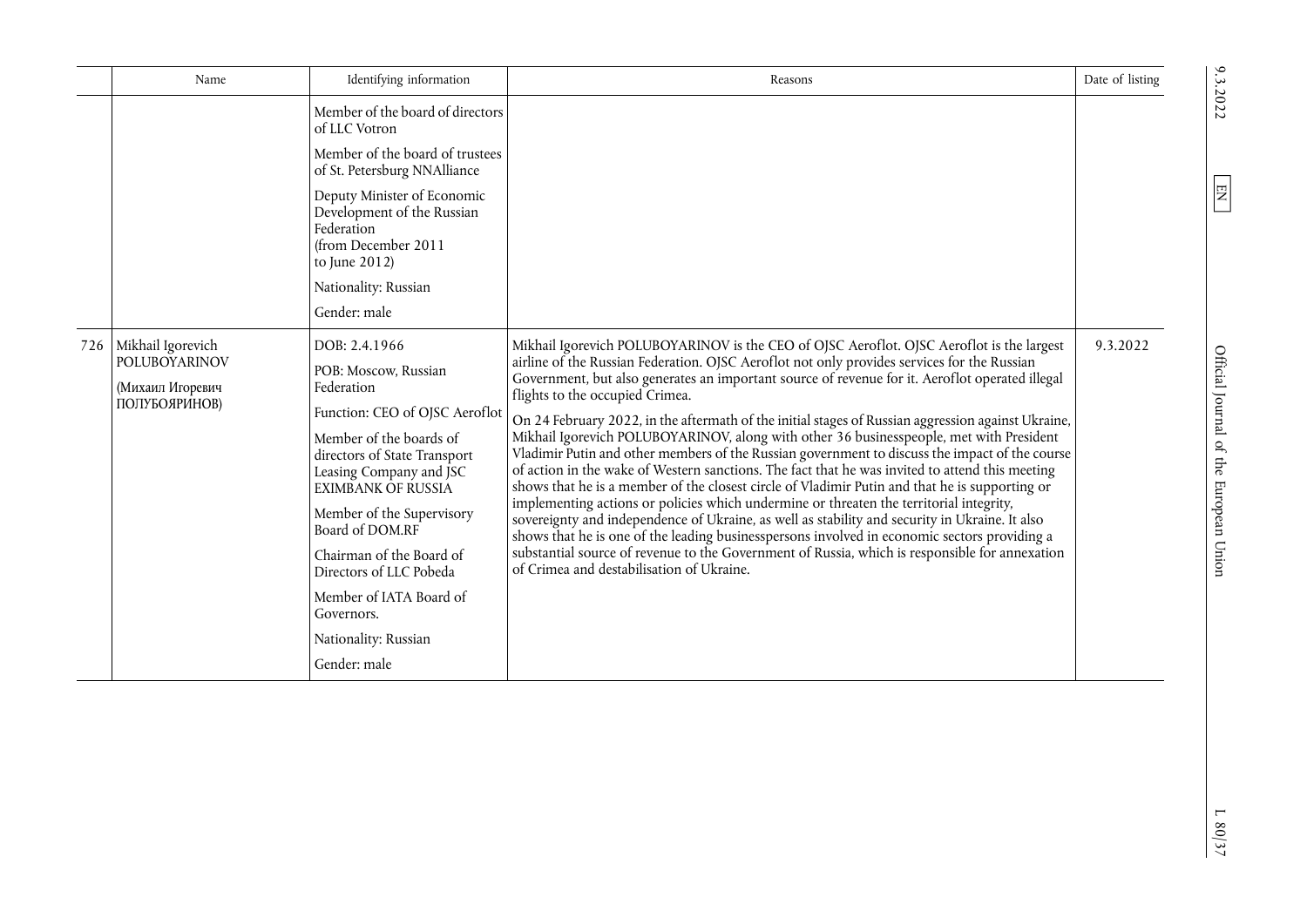|     | Name                                                                           | Identifying information                                                                                                                                                                                                                                                                                                                                                                          | Reasons                                                                                                                                                                                                                                                                                                                                                                                                                                                                                                                                                                                                                                                                                                                                                                                                                                                                                                                                                                                                                                                                                                                                                                                                                                                                            | Date of listing |
|-----|--------------------------------------------------------------------------------|--------------------------------------------------------------------------------------------------------------------------------------------------------------------------------------------------------------------------------------------------------------------------------------------------------------------------------------------------------------------------------------------------|------------------------------------------------------------------------------------------------------------------------------------------------------------------------------------------------------------------------------------------------------------------------------------------------------------------------------------------------------------------------------------------------------------------------------------------------------------------------------------------------------------------------------------------------------------------------------------------------------------------------------------------------------------------------------------------------------------------------------------------------------------------------------------------------------------------------------------------------------------------------------------------------------------------------------------------------------------------------------------------------------------------------------------------------------------------------------------------------------------------------------------------------------------------------------------------------------------------------------------------------------------------------------------|-----------------|
|     |                                                                                | Member of the board of directors<br>of LLC Votron                                                                                                                                                                                                                                                                                                                                                |                                                                                                                                                                                                                                                                                                                                                                                                                                                                                                                                                                                                                                                                                                                                                                                                                                                                                                                                                                                                                                                                                                                                                                                                                                                                                    |                 |
|     |                                                                                | Member of the board of trustees<br>of St. Petersburg NNAlliance                                                                                                                                                                                                                                                                                                                                  |                                                                                                                                                                                                                                                                                                                                                                                                                                                                                                                                                                                                                                                                                                                                                                                                                                                                                                                                                                                                                                                                                                                                                                                                                                                                                    |                 |
|     |                                                                                | Deputy Minister of Economic<br>Development of the Russian<br>Federation<br>(from December 2011<br>to June 2012)<br>Nationality: Russian                                                                                                                                                                                                                                                          |                                                                                                                                                                                                                                                                                                                                                                                                                                                                                                                                                                                                                                                                                                                                                                                                                                                                                                                                                                                                                                                                                                                                                                                                                                                                                    |                 |
|     |                                                                                | Gender: male                                                                                                                                                                                                                                                                                                                                                                                     |                                                                                                                                                                                                                                                                                                                                                                                                                                                                                                                                                                                                                                                                                                                                                                                                                                                                                                                                                                                                                                                                                                                                                                                                                                                                                    |                 |
| 726 | Mikhail Igorevich<br><b>POLUBOYARINOV</b><br>(Михаил Игоревич<br>ПОЛУБОЯРИНОВ) | DOB: 2.4.1966<br>POB: Moscow, Russian<br>Federation<br>Function: CEO of OJSC Aeroflot<br>Member of the boards of<br>directors of State Transport<br>Leasing Company and JSC<br><b>EXIMBANK OF RUSSIA</b><br>Member of the Supervisory<br>Board of DOM.RF<br>Chairman of the Board of<br>Directors of LLC Pobeda<br>Member of IATA Board of<br>Governors.<br>Nationality: Russian<br>Gender: male | Mikhail Igorevich POLUBOYARINOV is the CEO of OJSC Aeroflot. OJSC Aeroflot is the largest<br>airline of the Russian Federation. OJSC Aeroflot not only provides services for the Russian<br>Government, but also generates an important source of revenue for it. Aeroflot operated illegal<br>flights to the occupied Crimea.<br>On 24 February 2022, in the aftermath of the initial stages of Russian aggression against Ukraine,<br>Mikhail Igorevich POLUBOYARINOV, along with other 36 businesspeople, met with President<br>Vladimir Putin and other members of the Russian government to discuss the impact of the course<br>of action in the wake of Western sanctions. The fact that he was invited to attend this meeting<br>shows that he is a member of the closest circle of Vladimir Putin and that he is supporting or<br>implementing actions or policies which undermine or threaten the territorial integrity,<br>sovereignty and independence of Ukraine, as well as stability and security in Ukraine. It also<br>shows that he is one of the leading businesspersons involved in economic sectors providing a<br>substantial source of revenue to the Government of Russia, which is responsible for annexation<br>of Crimea and destabilisation of Ukraine. | 9.3.2022        |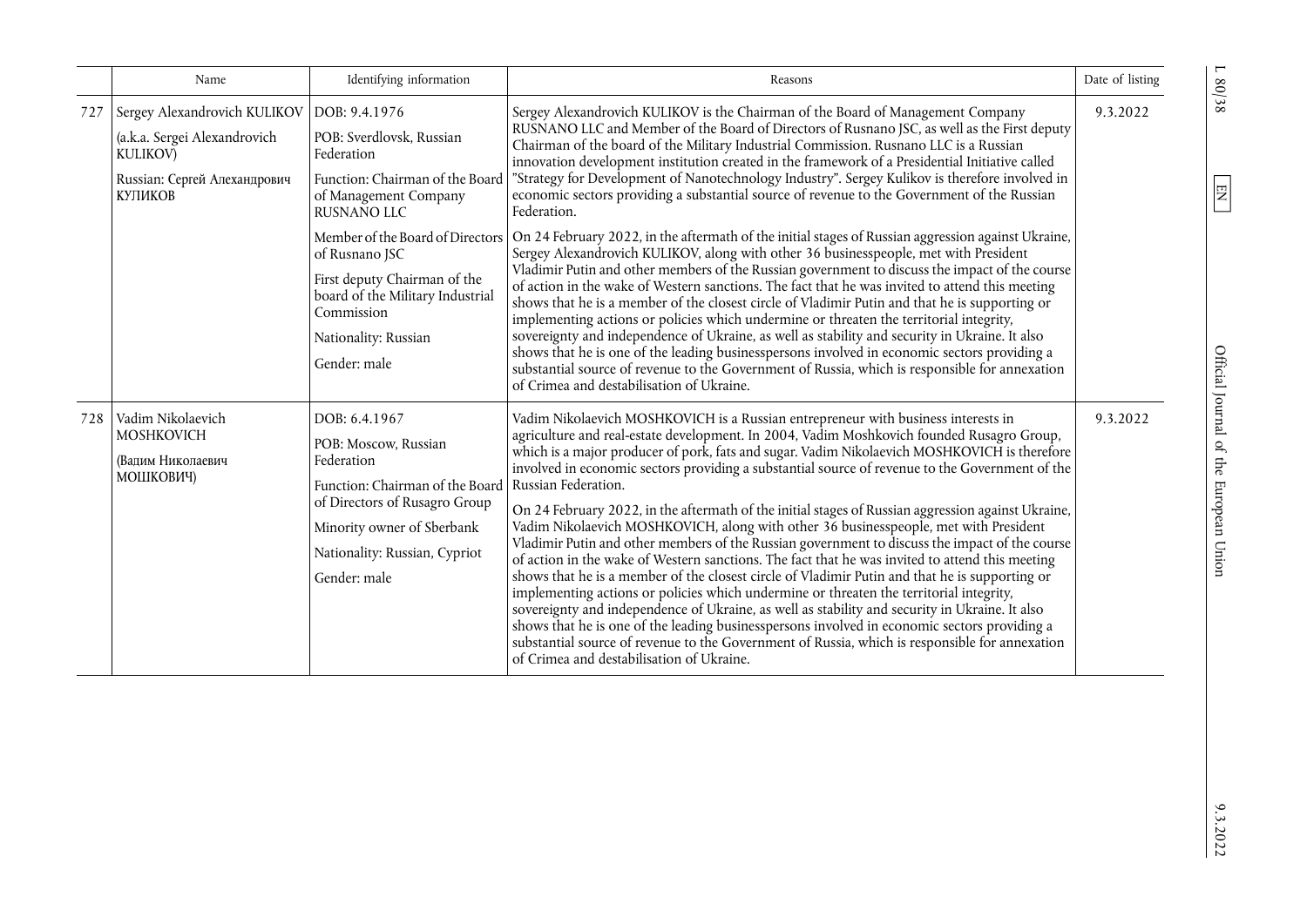|     | Name                                                                                                                                              | Identifying information                                                                                                                                                                                                      | Reasons                                                                                                                                                                                                                                                                                                                                                                                                                                                                                                                                                                                                                                                                                                                                                                                                                                                                                                                                                                                                                                                                                                                                                                                                                                                                                                                            | Date of listing |
|-----|---------------------------------------------------------------------------------------------------------------------------------------------------|------------------------------------------------------------------------------------------------------------------------------------------------------------------------------------------------------------------------------|------------------------------------------------------------------------------------------------------------------------------------------------------------------------------------------------------------------------------------------------------------------------------------------------------------------------------------------------------------------------------------------------------------------------------------------------------------------------------------------------------------------------------------------------------------------------------------------------------------------------------------------------------------------------------------------------------------------------------------------------------------------------------------------------------------------------------------------------------------------------------------------------------------------------------------------------------------------------------------------------------------------------------------------------------------------------------------------------------------------------------------------------------------------------------------------------------------------------------------------------------------------------------------------------------------------------------------|-----------------|
| 727 | Sergey Alexandrovich KULIKOV   DOB: 9.4.1976<br>(a.k.a. Sergei Alexandrovich<br><b>KULIKOV)</b><br>Russian: Сергей Алехандрович<br><b>КУПИКОВ</b> | POB: Sverdlovsk, Russian<br>Federation<br>Function: Chairman of the Board<br>of Management Company<br><b>RUSNANO LLC</b>                                                                                                     | Sergey Alexandrovich KULIKOV is the Chairman of the Board of Management Company<br>RUSNANO LLC and Member of the Board of Directors of Rusnano JSC, as well as the First deputy<br>Chairman of the board of the Military Industrial Commission. Rusnano LLC is a Russian<br>innovation development institution created in the framework of a Presidential Initiative called<br>"Strategy for Development of Nanotechnology Industry". Sergey Kulikov is therefore involved in<br>economic sectors providing a substantial source of revenue to the Government of the Russian<br>Federation.                                                                                                                                                                                                                                                                                                                                                                                                                                                                                                                                                                                                                                                                                                                                        | 9.3.2022        |
|     |                                                                                                                                                   | of Rusnano JSC<br>First deputy Chairman of the<br>board of the Military Industrial<br>Commission<br>Nationality: Russian<br>Gender: male                                                                                     | Member of the Board of Directors   On 24 February 2022, in the aftermath of the initial stages of Russian aggression against Ukraine,<br>Sergey Alexandrovich KULIKOV, along with other 36 businesspeople, met with President<br>Vladimir Putin and other members of the Russian government to discuss the impact of the course<br>of action in the wake of Western sanctions. The fact that he was invited to attend this meeting<br>shows that he is a member of the closest circle of Vladimir Putin and that he is supporting or<br>implementing actions or policies which undermine or threaten the territorial integrity,<br>sovereignty and independence of Ukraine, as well as stability and security in Ukraine. It also<br>shows that he is one of the leading businesspersons involved in economic sectors providing a<br>substantial source of revenue to the Government of Russia, which is responsible for annexation<br>of Crimea and destabilisation of Ukraine.                                                                                                                                                                                                                                                                                                                                                   |                 |
| 728 | Vadim Nikolaevich<br><b>MOSHKOVICH</b><br>(Вадим Николаевич<br>МОШКОВИЧ)                                                                          | DOB: 6.4.1967<br>POB: Moscow, Russian<br>Federation<br>Function: Chairman of the Board   Russian Federation.<br>of Directors of Rusagro Group<br>Minority owner of Sberbank<br>Nationality: Russian, Cypriot<br>Gender: male | Vadim Nikolaevich MOSHKOVICH is a Russian entrepreneur with business interests in<br>agriculture and real-estate development. In 2004, Vadim Moshkovich founded Rusagro Group,<br>which is a major producer of pork, fats and sugar. Vadim Nikolaevich MOSHKOVICH is therefore<br>involved in economic sectors providing a substantial source of revenue to the Government of the<br>On 24 February 2022, in the aftermath of the initial stages of Russian aggression against Ukraine,<br>Vadim Nikolaevich MOSHKOVICH, along with other 36 businesspeople, met with President<br>Vladimir Putin and other members of the Russian government to discuss the impact of the course<br>of action in the wake of Western sanctions. The fact that he was invited to attend this meeting<br>shows that he is a member of the closest circle of Vladimir Putin and that he is supporting or<br>implementing actions or policies which undermine or threaten the territorial integrity,<br>sovereignty and independence of Ukraine, as well as stability and security in Ukraine. It also<br>shows that he is one of the leading businesspersons involved in economic sectors providing a<br>substantial source of revenue to the Government of Russia, which is responsible for annexation<br>of Crimea and destabilisation of Ukraine. | 9.3.2022        |

 $L80/38$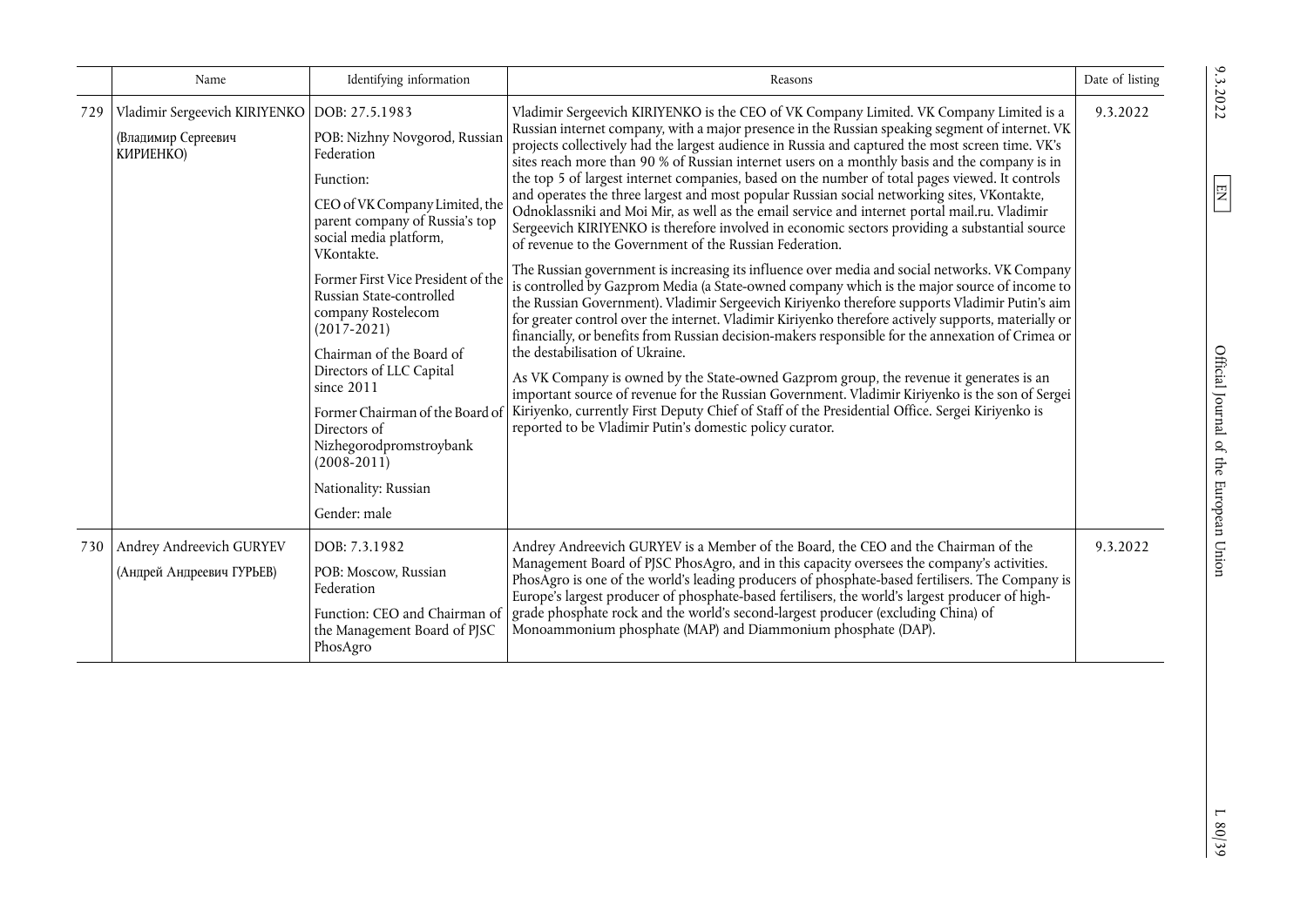|     | Name                                                                               | Identifying information                                                                                                                                                                                                                                                                                                                                                                                                                                                                        | Reasons                                                                                                                                                                                                                                                                                                                                                                                                                                                                                                                                                                                                                                                                                                                                                                                                                                                                                                                                                                                                                                                                                                                                                                                                                                                                                                                                                                                                                                                                                                                                                                                                                                                                                                                                                                         | Date of listing |
|-----|------------------------------------------------------------------------------------|------------------------------------------------------------------------------------------------------------------------------------------------------------------------------------------------------------------------------------------------------------------------------------------------------------------------------------------------------------------------------------------------------------------------------------------------------------------------------------------------|---------------------------------------------------------------------------------------------------------------------------------------------------------------------------------------------------------------------------------------------------------------------------------------------------------------------------------------------------------------------------------------------------------------------------------------------------------------------------------------------------------------------------------------------------------------------------------------------------------------------------------------------------------------------------------------------------------------------------------------------------------------------------------------------------------------------------------------------------------------------------------------------------------------------------------------------------------------------------------------------------------------------------------------------------------------------------------------------------------------------------------------------------------------------------------------------------------------------------------------------------------------------------------------------------------------------------------------------------------------------------------------------------------------------------------------------------------------------------------------------------------------------------------------------------------------------------------------------------------------------------------------------------------------------------------------------------------------------------------------------------------------------------------|-----------------|
| 729 | Vladimir Sergeevich KIRIYENKO   DOB: 27.5.1983<br>(Владимир Сергеевич<br>КИРИЕНКО) | POB: Nizhny Novgorod, Russian<br>Federation<br>Function:<br>CEO of VK Company Limited, the<br>parent company of Russia's top<br>social media platform,<br>VKontakte.<br>Former First Vice President of the<br>Russian State-controlled<br>company Rostelecom<br>$(2017 - 2021)$<br>Chairman of the Board of<br>Directors of LLC Capital<br>since 2011<br>Former Chairman of the Board of<br>Directors of<br>Nizhegorodpromstroybank<br>$(2008 - 2011)$<br>Nationality: Russian<br>Gender: male | Vladimir Sergeevich KIRIYENKO is the CEO of VK Company Limited. VK Company Limited is a<br>Russian internet company, with a major presence in the Russian speaking segment of internet. VK<br>projects collectively had the largest audience in Russia and captured the most screen time. VK's<br>sites reach more than 90 % of Russian internet users on a monthly basis and the company is in<br>the top 5 of largest internet companies, based on the number of total pages viewed. It controls<br>and operates the three largest and most popular Russian social networking sites, VKontakte,<br>Odnoklassniki and Moi Mir, as well as the email service and internet portal mail.ru. Vladimir<br>Sergeevich KIRIYENKO is therefore involved in economic sectors providing a substantial source<br>of revenue to the Government of the Russian Federation.<br>The Russian government is increasing its influence over media and social networks. VK Company<br>is controlled by Gazprom Media (a State-owned company which is the major source of income to<br>the Russian Government). Vladimir Sergeevich Kiriyenko therefore supports Vladimir Putin's aim<br>for greater control over the internet. Vladimir Kiriyenko therefore actively supports, materially or<br>financially, or benefits from Russian decision-makers responsible for the annexation of Crimea or<br>the destabilisation of Ukraine.<br>As VK Company is owned by the State-owned Gazprom group, the revenue it generates is an<br>important source of revenue for the Russian Government. Vladimir Kiriyenko is the son of Sergei<br>Kiriyenko, currently First Deputy Chief of Staff of the Presidential Office. Sergei Kiriyenko is<br>reported to be Vladimir Putin's domestic policy curator. | 9.3.2022        |
| 730 | Andrey Andreevich GURYEV<br>(Андрей Андреевич ГУРЬЕВ)                              | DOB: 7.3.1982<br>POB: Moscow, Russian<br>Federation<br>Function: CEO and Chairman of<br>the Management Board of PJSC<br>PhosAgro                                                                                                                                                                                                                                                                                                                                                               | Andrey Andreevich GURYEV is a Member of the Board, the CEO and the Chairman of the<br>Management Board of PJSC PhosAgro, and in this capacity oversees the company's activities.<br>PhosAgro is one of the world's leading producers of phosphate-based fertilisers. The Company is<br>Europe's largest producer of phosphate-based fertilisers, the world's largest producer of high-<br>grade phosphate rock and the world's second-largest producer (excluding China) of<br>Monoammonium phosphate (MAP) and Diammonium phosphate (DAP).                                                                                                                                                                                                                                                                                                                                                                                                                                                                                                                                                                                                                                                                                                                                                                                                                                                                                                                                                                                                                                                                                                                                                                                                                                     | 9.3.2022        |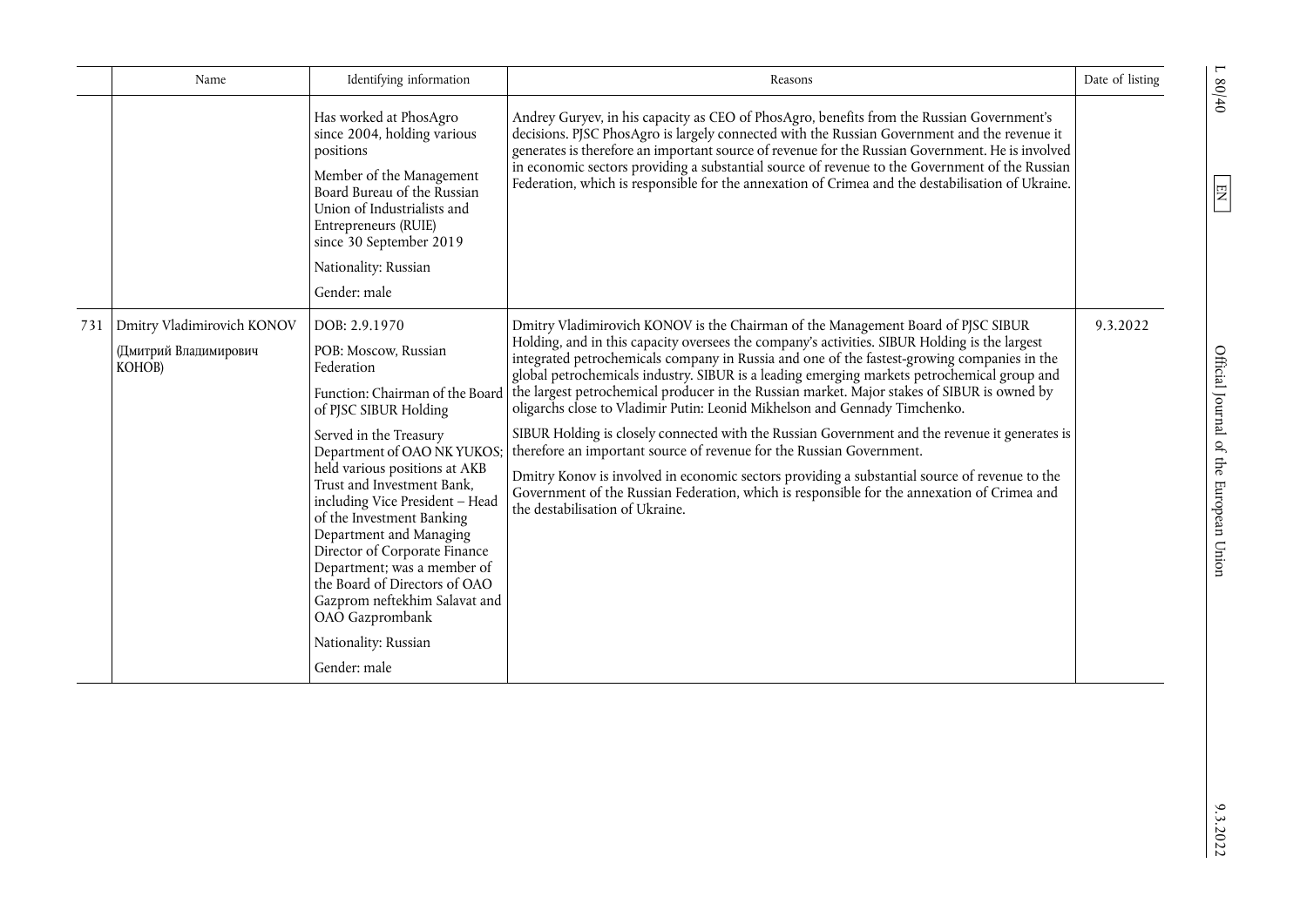|     | Name                                                          | Identifying information                                                                                                                                                                                                                                                                                                                                                                                                                                                                      | Reasons                                                                                                                                                                                                                                                                                                                                                                                                                                                                                                                                                                                                                                                                                                                                                                                                                                                                                                                                                                                                   | Date of listing |
|-----|---------------------------------------------------------------|----------------------------------------------------------------------------------------------------------------------------------------------------------------------------------------------------------------------------------------------------------------------------------------------------------------------------------------------------------------------------------------------------------------------------------------------------------------------------------------------|-----------------------------------------------------------------------------------------------------------------------------------------------------------------------------------------------------------------------------------------------------------------------------------------------------------------------------------------------------------------------------------------------------------------------------------------------------------------------------------------------------------------------------------------------------------------------------------------------------------------------------------------------------------------------------------------------------------------------------------------------------------------------------------------------------------------------------------------------------------------------------------------------------------------------------------------------------------------------------------------------------------|-----------------|
|     |                                                               | Has worked at PhosAgro<br>since 2004, holding various<br>positions<br>Member of the Management<br>Board Bureau of the Russian<br>Union of Industrialists and<br>Entrepreneurs (RUIE)<br>since 30 September 2019<br>Nationality: Russian<br>Gender: male                                                                                                                                                                                                                                      | Andrey Guryev, in his capacity as CEO of PhosAgro, benefits from the Russian Government's<br>decisions. PJSC PhosAgro is largely connected with the Russian Government and the revenue it<br>generates is therefore an important source of revenue for the Russian Government. He is involved<br>in economic sectors providing a substantial source of revenue to the Government of the Russian<br>Federation, which is responsible for the annexation of Crimea and the destabilisation of Ukraine.                                                                                                                                                                                                                                                                                                                                                                                                                                                                                                      |                 |
| 731 | Dmitry Vladimirovich KONOV<br>(Дмитрий Владимирович<br>KOHOB) | DOB: 2.9.1970<br>POB: Moscow, Russian<br>Federation<br>of PJSC SIBUR Holding<br>Served in the Treasury<br>Department of OAO NK YUKOS;<br>held various positions at AKB<br>Trust and Investment Bank,<br>including Vice President - Head<br>of the Investment Banking<br>Department and Managing<br>Director of Corporate Finance<br>Department; was a member of<br>the Board of Directors of OAO<br>Gazprom neftekhim Salavat and<br>OAO Gazprombank<br>Nationality: Russian<br>Gender: male | Dmitry Vladimirovich KONOV is the Chairman of the Management Board of PJSC SIBUR<br>Holding, and in this capacity oversees the company's activities. SIBUR Holding is the largest<br>integrated petrochemicals company in Russia and one of the fastest-growing companies in the<br>global petrochemicals industry. SIBUR is a leading emerging markets petrochemical group and<br>Function: Chairman of the Board the largest petrochemical producer in the Russian market. Major stakes of SIBUR is owned by<br>oligarchs close to Vladimir Putin: Leonid Mikhelson and Gennady Timchenko.<br>SIBUR Holding is closely connected with the Russian Government and the revenue it generates is<br>therefore an important source of revenue for the Russian Government.<br>Dmitry Konov is involved in economic sectors providing a substantial source of revenue to the<br>Government of the Russian Federation, which is responsible for the annexation of Crimea and<br>the destabilisation of Ukraine. | 9.3.2022        |

 $1.80/40$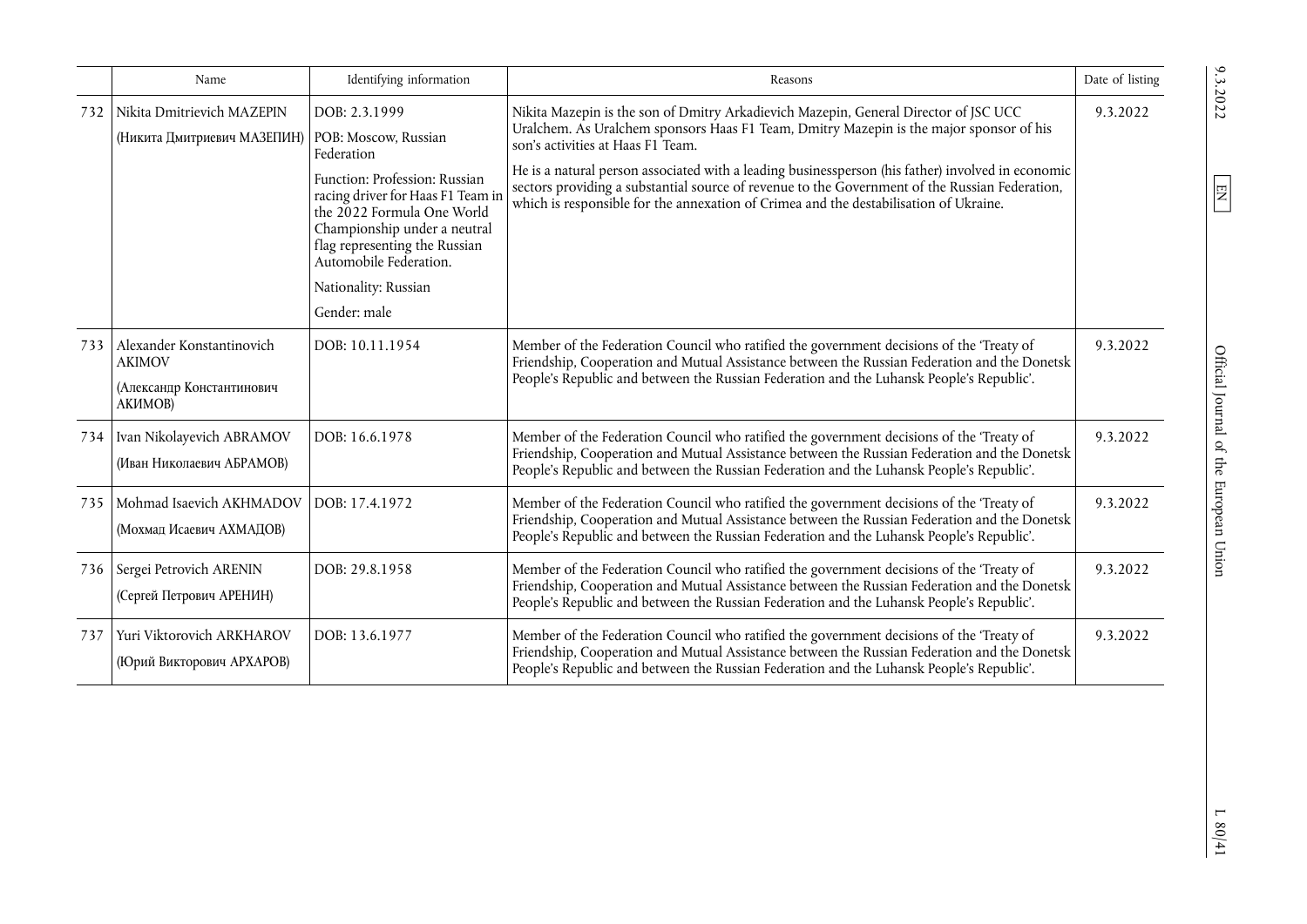|     | Name                                                                               | Identifying information                                                                                                                                                                                                                                            | Reasons                                                                                                                                                                                                                                                                                                                                                                                                                                                                                                              | Date of listing |
|-----|------------------------------------------------------------------------------------|--------------------------------------------------------------------------------------------------------------------------------------------------------------------------------------------------------------------------------------------------------------------|----------------------------------------------------------------------------------------------------------------------------------------------------------------------------------------------------------------------------------------------------------------------------------------------------------------------------------------------------------------------------------------------------------------------------------------------------------------------------------------------------------------------|-----------------|
| 732 | Nikita Dmitrievich MAZEPIN<br>(Никита Дмитриевич МАЗЕПИН)   POB: Moscow, Russian   | DOB: 2.3.1999<br>Federation<br>Function: Profession: Russian<br>racing driver for Haas F1 Team in<br>the 2022 Formula One World<br>Championship under a neutral<br>flag representing the Russian<br>Automobile Federation.<br>Nationality: Russian<br>Gender: male | Nikita Mazepin is the son of Dmitry Arkadievich Mazepin, General Director of JSC UCC<br>Uralchem. As Uralchem sponsors Haas F1 Team, Dmitry Mazepin is the major sponsor of his<br>son's activities at Haas F1 Team.<br>He is a natural person associated with a leading businessperson (his father) involved in economic<br>sectors providing a substantial source of revenue to the Government of the Russian Federation,<br>which is responsible for the annexation of Crimea and the destabilisation of Ukraine. | 9.3.2022        |
| 733 | Alexander Konstantinovich<br><b>AKIMOV</b><br>(Александр Константинович<br>АКИМОВ) | DOB: 10.11.1954                                                                                                                                                                                                                                                    | Member of the Federation Council who ratified the government decisions of the 'Treaty of<br>Friendship, Cooperation and Mutual Assistance between the Russian Federation and the Donetsk<br>People's Republic and between the Russian Federation and the Luhansk People's Republic'.                                                                                                                                                                                                                                 | 9.3.2022        |
| 734 | Ivan Nikolayevich ABRAMOV<br>(Иван Николаевич АБРАМОВ)                             | DOB: 16.6.1978                                                                                                                                                                                                                                                     | Member of the Federation Council who ratified the government decisions of the 'Treaty of<br>Friendship, Cooperation and Mutual Assistance between the Russian Federation and the Donetsk<br>People's Republic and between the Russian Federation and the Luhansk People's Republic'.                                                                                                                                                                                                                                 | 9.3.2022        |
| 735 | Mohmad Isaevich AKHMADOV<br>(Мохмад Исаевич АХМАДОВ)                               | DOB: 17.4.1972                                                                                                                                                                                                                                                     | Member of the Federation Council who ratified the government decisions of the 'Treaty of<br>Friendship, Cooperation and Mutual Assistance between the Russian Federation and the Donetsk<br>People's Republic and between the Russian Federation and the Luhansk People's Republic'.                                                                                                                                                                                                                                 | 9.3.2022        |
| 736 | Sergei Petrovich ARENIN<br>(Сергей Петрович АРЕНИН)                                | DOB: 29.8.1958                                                                                                                                                                                                                                                     | Member of the Federation Council who ratified the government decisions of the 'Treaty of<br>Friendship, Cooperation and Mutual Assistance between the Russian Federation and the Donetsk<br>People's Republic and between the Russian Federation and the Luhansk People's Republic'.                                                                                                                                                                                                                                 | 9.3.2022        |
| 737 | Yuri Viktorovich ARKHAROV<br>(Юрий Викторович АРХАРОВ)                             | DOB: 13.6.1977                                                                                                                                                                                                                                                     | Member of the Federation Council who ratified the government decisions of the 'Treaty of<br>Friendship, Cooperation and Mutual Assistance between the Russian Federation and the Donetsk<br>People's Republic and between the Russian Federation and the Luhansk People's Republic'.                                                                                                                                                                                                                                 | 9.3.2022        |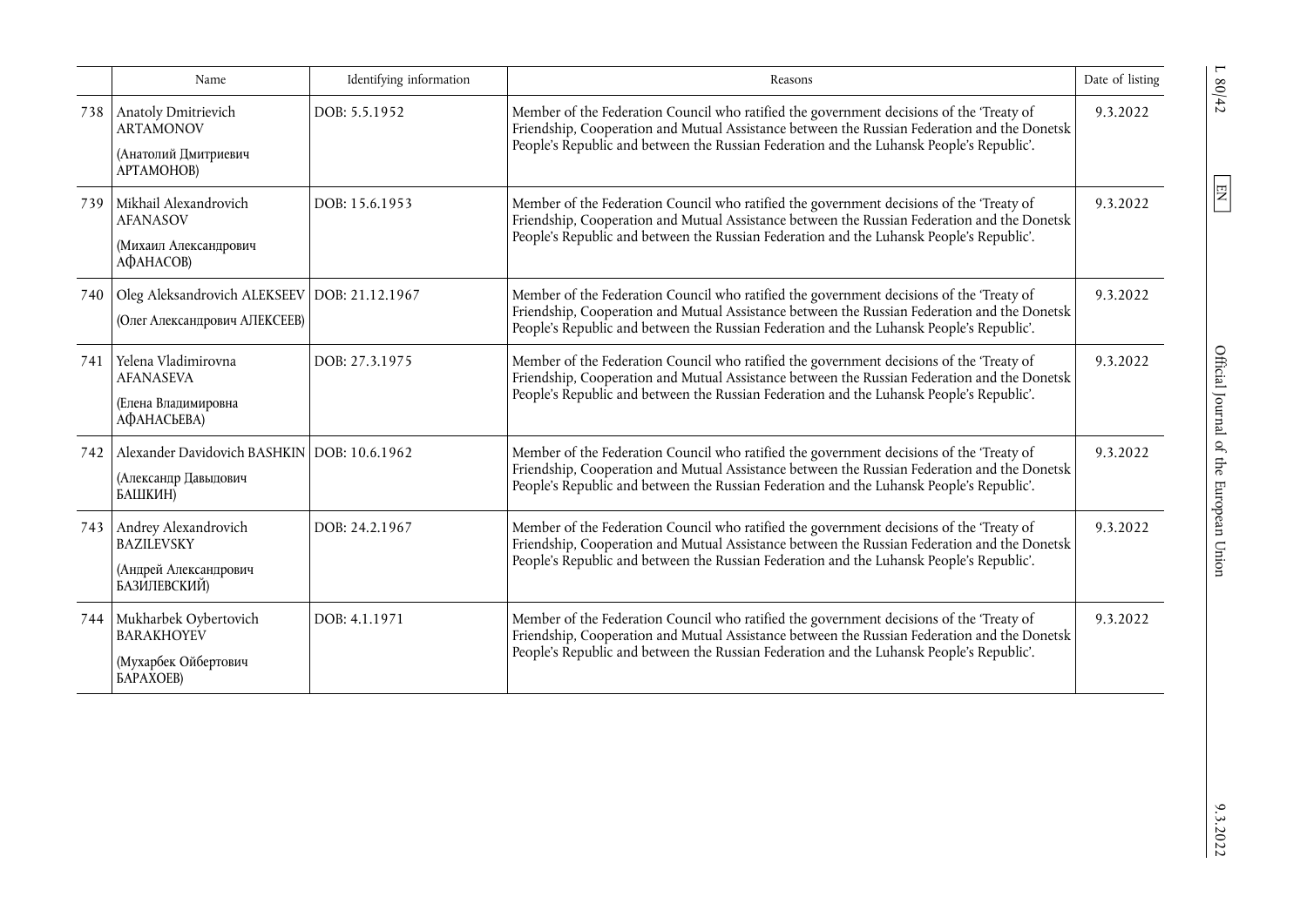|     | Name                                                                                         | Identifying information | Reasons                                                                                                                                                                                                                                                                              | Date of listing |
|-----|----------------------------------------------------------------------------------------------|-------------------------|--------------------------------------------------------------------------------------------------------------------------------------------------------------------------------------------------------------------------------------------------------------------------------------|-----------------|
|     | 738 Anatoly Dmitrievich<br><b>ARTAMONOV</b><br>(Анатолий Дмитриевич<br>APTAMOHOB)            | DOB: 5.5.1952           | Member of the Federation Council who ratified the government decisions of the 'Treaty of<br>Friendship, Cooperation and Mutual Assistance between the Russian Federation and the Donetsk<br>People's Republic and between the Russian Federation and the Luhansk People's Republic'. | 9.3.2022        |
| 739 | Mikhail Alexandrovich<br><b>AFANASOV</b><br>(Михаил Александрович<br>АФАНАСОВ)               | DOB: 15.6.1953          | Member of the Federation Council who ratified the government decisions of the 'Treaty of<br>Friendship, Cooperation and Mutual Assistance between the Russian Federation and the Donetsk<br>People's Republic and between the Russian Federation and the Luhansk People's Republic'. | 9.3.2022        |
| 740 | Oleg Aleksandrovich ALEKSEEV DOB: 21.12.1967<br>(Олег Александрович АЛЕКСЕЕВ)                |                         | Member of the Federation Council who ratified the government decisions of the 'Treaty of<br>Friendship, Cooperation and Mutual Assistance between the Russian Federation and the Donetsk<br>People's Republic and between the Russian Federation and the Luhansk People's Republic'. | 9.3.2022        |
| 741 | Yelena Vladimirovna<br><b>AFANASEVA</b><br>(Елена Владимировна<br>АФАНАСЬЕВА)                | DOB: 27.3.1975          | Member of the Federation Council who ratified the government decisions of the 'Treaty of<br>Friendship, Cooperation and Mutual Assistance between the Russian Federation and the Donetsk<br>People's Republic and between the Russian Federation and the Luhansk People's Republic'. | 9.3.2022        |
| 742 | Alexander Davidovich BASHKIN   DOB: 10.6.1962<br>(Александр Давыдович<br>БАШКИН)             |                         | Member of the Federation Council who ratified the government decisions of the 'Treaty of<br>Friendship, Cooperation and Mutual Assistance between the Russian Federation and the Donetsk<br>People's Republic and between the Russian Federation and the Luhansk People's Republic'. | 9.3.2022        |
| 743 | Andrey Alexandrovich<br><b>BAZILEVSKY</b><br>(Андрей Александрович<br>БАЗИЛЕВСКИЙ)           | DOB: 24.2.1967          | Member of the Federation Council who ratified the government decisions of the 'Treaty of<br>Friendship, Cooperation and Mutual Assistance between the Russian Federation and the Donetsk<br>People's Republic and between the Russian Federation and the Luhansk People's Republic'. | 9.3.2022        |
| 744 | Mukharbek Oybertovich<br><b>BARAKHOYEV</b><br>(Мухарбек Ойбертович<br><b><i>GAPAXOEB</i></b> | DOB: 4.1.1971           | Member of the Federation Council who ratified the government decisions of the 'Treaty of<br>Friendship, Cooperation and Mutual Assistance between the Russian Federation and the Donetsk<br>People's Republic and between the Russian Federation and the Luhansk People's Republic'. | 9.3.2022        |

 $9.3.2022$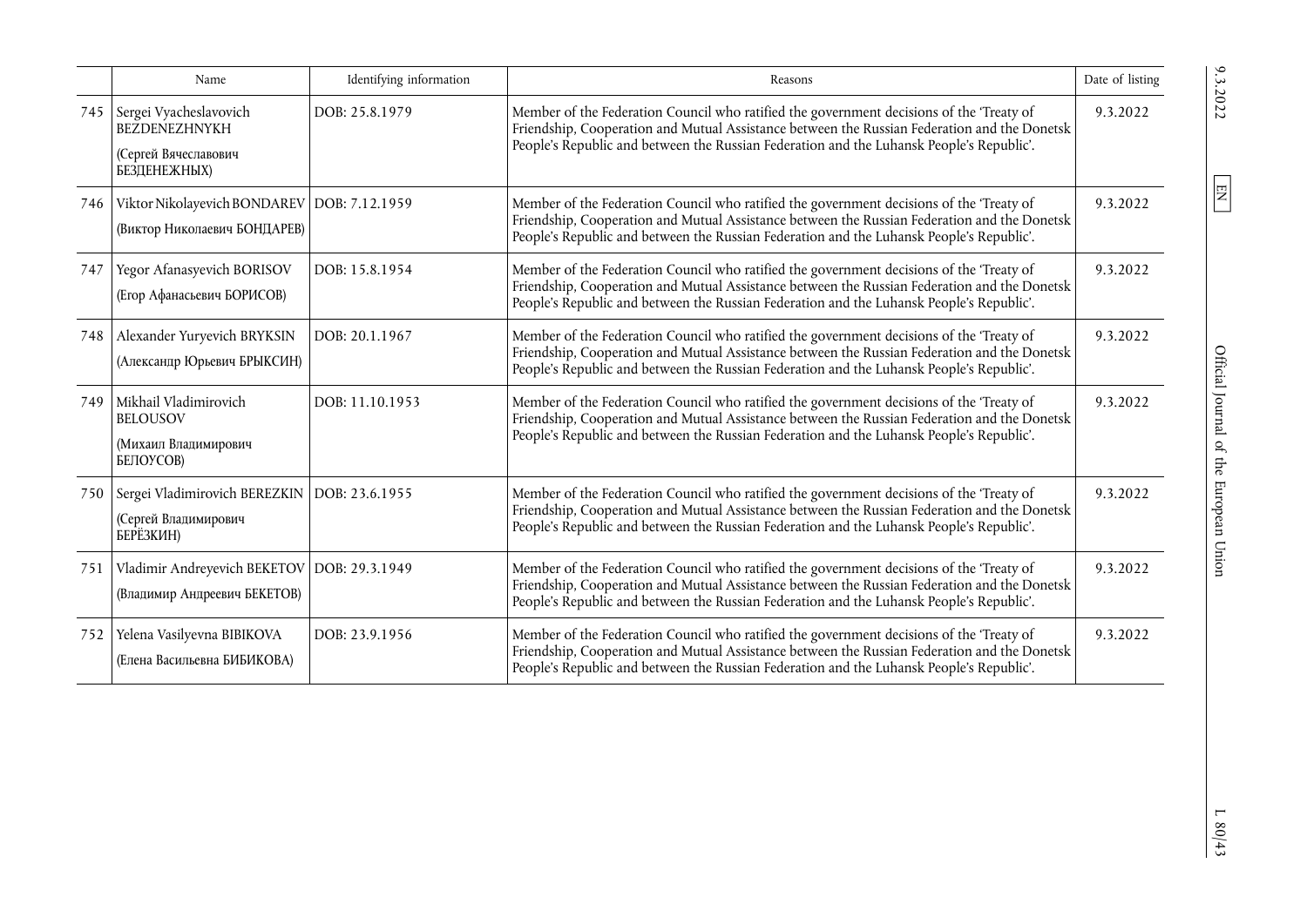|     | Name                                                                                   | Identifying information | Reasons                                                                                                                                                                                                                                                                              | Date of listing |
|-----|----------------------------------------------------------------------------------------|-------------------------|--------------------------------------------------------------------------------------------------------------------------------------------------------------------------------------------------------------------------------------------------------------------------------------|-----------------|
| 745 | Sergei Vyacheslavovich<br><b>BEZDENEZHNYKH</b><br>(Сергей Вячеславович<br>БЕЗДЕНЕЖНЫХ) | DOB: 25.8.1979          | Member of the Federation Council who ratified the government decisions of the 'Treaty of<br>Friendship, Cooperation and Mutual Assistance between the Russian Federation and the Donetsk<br>People's Republic and between the Russian Federation and the Luhansk People's Republic'. | 9.3.2022        |
| 746 | Viktor Nikolayevich BONDAREV   DOB: 7.12.1959<br>(Виктор Николаевич БОНДАРЕВ)          |                         | Member of the Federation Council who ratified the government decisions of the 'Treaty of<br>Friendship, Cooperation and Mutual Assistance between the Russian Federation and the Donetsk<br>People's Republic and between the Russian Federation and the Luhansk People's Republic'. | 9.3.2022        |
| 747 | Yegor Afanasyevich BORISOV<br>(Егор Афанасьевич БОРИСОВ)                               | DOB: 15.8.1954          | Member of the Federation Council who ratified the government decisions of the 'Treaty of<br>Friendship, Cooperation and Mutual Assistance between the Russian Federation and the Donetsk<br>People's Republic and between the Russian Federation and the Luhansk People's Republic'. | 9.3.2022        |
| 748 | Alexander Yuryevich BRYKSIN<br>(Александр Юрьевич БРЫКСИН)                             | DOB: 20.1.1967          | Member of the Federation Council who ratified the government decisions of the 'Treaty of<br>Friendship, Cooperation and Mutual Assistance between the Russian Federation and the Donetsk<br>People's Republic and between the Russian Federation and the Luhansk People's Republic'. | 9.3.2022        |
| 749 | Mikhail Vladimirovich<br><b>BELOUSOV</b><br>(Михаил Владимирович<br>БЕЛОУСОВ)          | DOB: 11.10.1953         | Member of the Federation Council who ratified the government decisions of the 'Treaty of<br>Friendship, Cooperation and Mutual Assistance between the Russian Federation and the Donetsk<br>People's Republic and between the Russian Federation and the Luhansk People's Republic'. | 9.3.2022        |
| 750 | Sergei Vladimirovich BEREZKIN   DOB: 23.6.1955<br>(Сергей Владимирович<br>БЕРЁЗКИН)    |                         | Member of the Federation Council who ratified the government decisions of the 'Treaty of<br>Friendship, Cooperation and Mutual Assistance between the Russian Federation and the Donetsk<br>People's Republic and between the Russian Federation and the Luhansk People's Republic'. | 9.3.2022        |
| 751 | Vladimir Andreyevich BEKETOV   DOB: 29.3.1949<br>(Владимир Андреевич БЕКЕТОВ)          |                         | Member of the Federation Council who ratified the government decisions of the 'Treaty of<br>Friendship, Cooperation and Mutual Assistance between the Russian Federation and the Donetsk<br>People's Republic and between the Russian Federation and the Luhansk People's Republic'. | 9.3.2022        |
| 752 | Yelena Vasilyevna BIBIKOVA<br>(Елена Васильевна БИБИКОВА)                              | DOB: 23.9.1956          | Member of the Federation Council who ratified the government decisions of the 'Treaty of<br>Friendship, Cooperation and Mutual Assistance between the Russian Federation and the Donetsk<br>People's Republic and between the Russian Federation and the Luhansk People's Republic'. | 9.3.2022        |

 $\boxed{\text{EN}}$ 

 $L$   $80/4\sqrt{3}$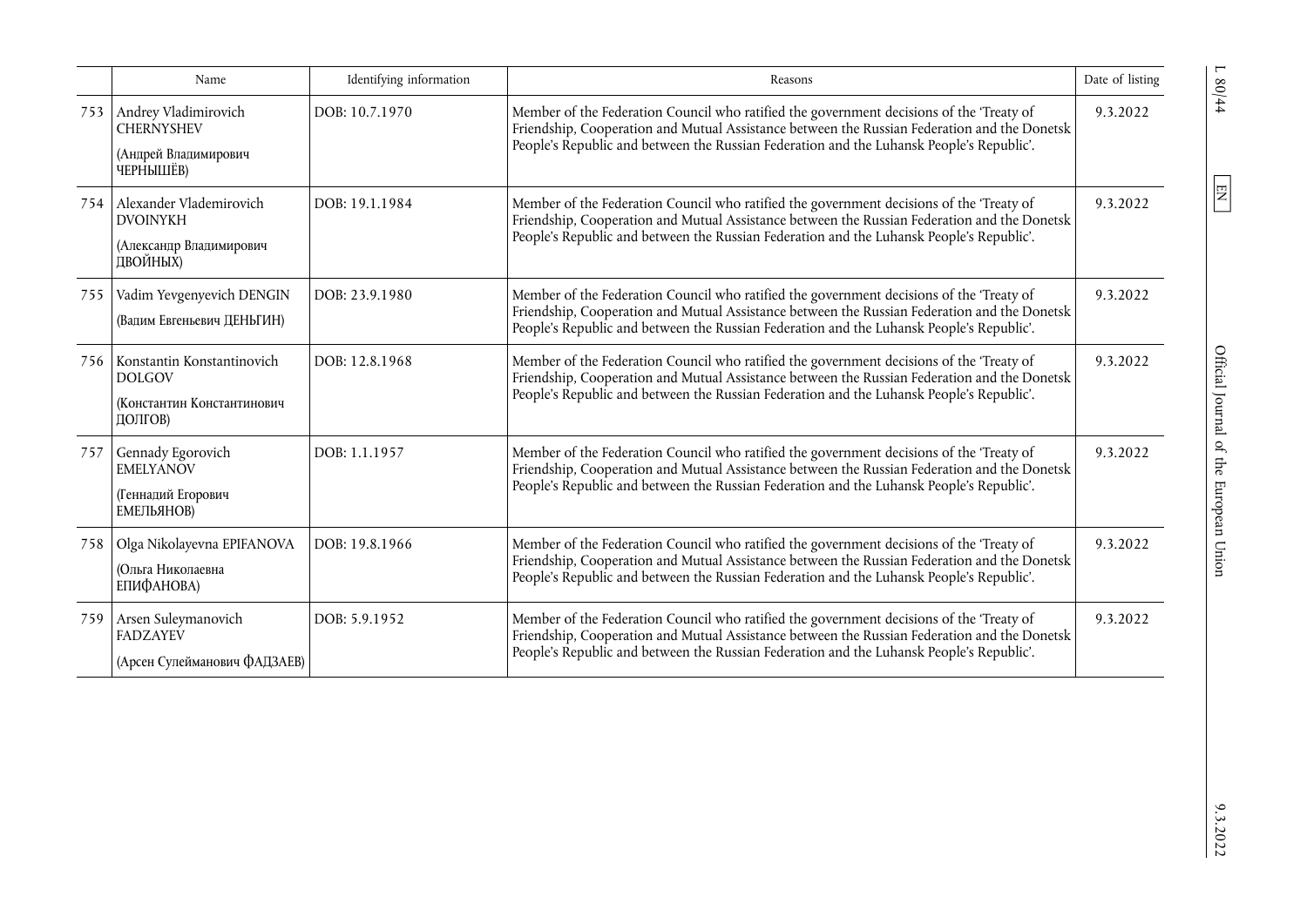|     | Name                                                                                 | Identifying information | Reasons                                                                                                                                                                                                                                                                              | Date of listing |
|-----|--------------------------------------------------------------------------------------|-------------------------|--------------------------------------------------------------------------------------------------------------------------------------------------------------------------------------------------------------------------------------------------------------------------------------|-----------------|
|     | 753 Andrey Vladimirovich<br><b>CHERNYSHEV</b><br>(Андрей Владимирович<br>ЧЕРНЫШЁВ)   | DOB: 10.7.1970          | Member of the Federation Council who ratified the government decisions of the 'Treaty of<br>Friendship, Cooperation and Mutual Assistance between the Russian Federation and the Donetsk<br>People's Republic and between the Russian Federation and the Luhansk People's Republic'. | 9.3.2022        |
| 754 | Alexander Vlademirovich<br><b>DVOINYKH</b><br>(Александр Владимирович<br>ДВОЙНЫХ)    | DOB: 19.1.1984          | Member of the Federation Council who ratified the government decisions of the 'Treaty of<br>Friendship, Cooperation and Mutual Assistance between the Russian Federation and the Donetsk<br>People's Republic and between the Russian Federation and the Luhansk People's Republic'. | 9.3.2022        |
| 755 | Vadim Yevgenyevich DENGIN<br>(Вадим Евгеньевич ДЕНЬГИН)                              | DOB: 23.9.1980          | Member of the Federation Council who ratified the government decisions of the 'Treaty of<br>Friendship, Cooperation and Mutual Assistance between the Russian Federation and the Donetsk<br>People's Republic and between the Russian Federation and the Luhansk People's Republic'. | 9.3.2022        |
| 756 | Konstantin Konstantinovich<br><b>DOLGOV</b><br>(Константин Константинович<br>ДОЛГОВ) | DOB: 12.8.1968          | Member of the Federation Council who ratified the government decisions of the 'Treaty of<br>Friendship, Cooperation and Mutual Assistance between the Russian Federation and the Donetsk<br>People's Republic and between the Russian Federation and the Luhansk People's Republic'. | 9.3.2022        |
| 757 | Gennady Egorovich<br><b>EMELYANOV</b><br>(Геннадий Егорович<br>ЕМЕЛЬЯНОВ)            | DOB: 1.1.1957           | Member of the Federation Council who ratified the government decisions of the 'Treaty of<br>Friendship, Cooperation and Mutual Assistance between the Russian Federation and the Donetsk<br>People's Republic and between the Russian Federation and the Luhansk People's Republic'. | 9.3.2022        |
| 758 | Olga Nikolayevna EPIFANOVA<br>(Ольга Николаевна<br>ЕПИФАНОВА)                        | DOB: 19.8.1966          | Member of the Federation Council who ratified the government decisions of the 'Treaty of<br>Friendship, Cooperation and Mutual Assistance between the Russian Federation and the Donetsk<br>People's Republic and between the Russian Federation and the Luhansk People's Republic'. | 9.3.2022        |
| 759 | Arsen Suleymanovich<br><b>FADZAYEV</b><br>(Арсен Сулейманович ФАДЗАЕВ)               | DOB: 5.9.1952           | Member of the Federation Council who ratified the government decisions of the 'Treaty of<br>Friendship, Cooperation and Mutual Assistance between the Russian Federation and the Donetsk<br>People's Republic and between the Russian Federation and the Luhansk People's Republic'. | 9.3.2022        |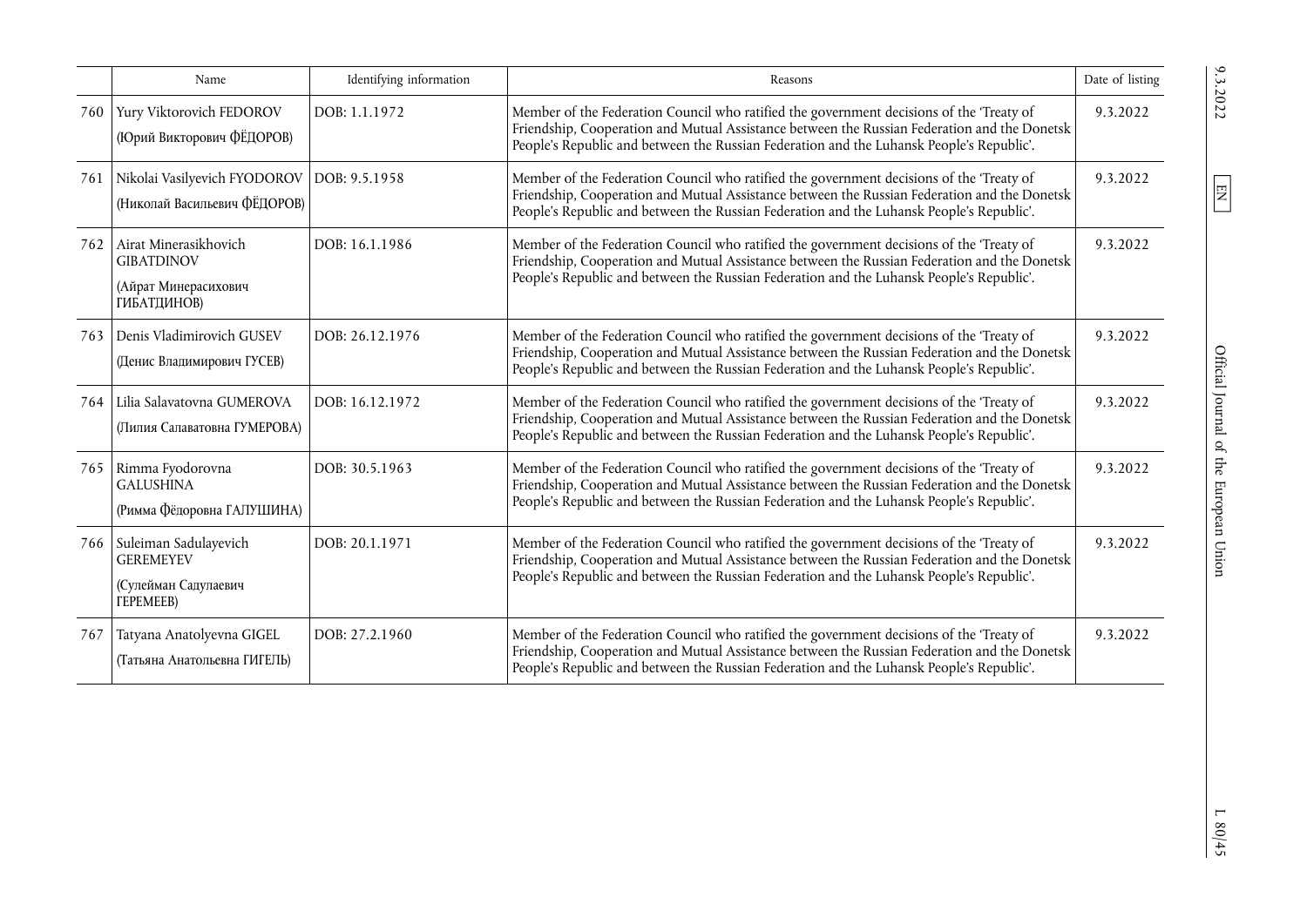|     | Name                                                                                      | Identifying information | Reasons                                                                                                                                                                                                                                                                              | Date of listing |
|-----|-------------------------------------------------------------------------------------------|-------------------------|--------------------------------------------------------------------------------------------------------------------------------------------------------------------------------------------------------------------------------------------------------------------------------------|-----------------|
|     | 760 Yury Viktorovich FEDOROV<br>(Юрий Викторович ФЁДОРОВ)                                 | DOB: 1.1.1972           | Member of the Federation Council who ratified the government decisions of the 'Treaty of<br>Friendship, Cooperation and Mutual Assistance between the Russian Federation and the Donetsk<br>People's Republic and between the Russian Federation and the Luhansk People's Republic'. | 9.3.2022        |
| 761 | Nikolai Vasilyevich FYODOROV   DOB: 9.5.1958<br>(Николай Васильевич ФЁДОРОВ)              |                         | Member of the Federation Council who ratified the government decisions of the 'Treaty of<br>Friendship, Cooperation and Mutual Assistance between the Russian Federation and the Donetsk<br>People's Republic and between the Russian Federation and the Luhansk People's Republic'. | 9.3.2022        |
| 762 | Airat Minerasikhovich<br><b>GIBATDINOV</b><br>(Айрат Минерасихович<br>ГИБАТДИНОВ)         | DOB: 16.1.1986          | Member of the Federation Council who ratified the government decisions of the 'Treaty of<br>Friendship, Cooperation and Mutual Assistance between the Russian Federation and the Donetsk<br>People's Republic and between the Russian Federation and the Luhansk People's Republic'. | 9.3.2022        |
| 763 | Denis Vladimirovich GUSEV<br>(Денис Владимирович ГУСЕВ)                                   | DOB: 26.12.1976         | Member of the Federation Council who ratified the government decisions of the 'Treaty of<br>Friendship, Cooperation and Mutual Assistance between the Russian Federation and the Donetsk<br>People's Republic and between the Russian Federation and the Luhansk People's Republic'. | 9.3.2022        |
| 764 | Lilia Salavatovna GUMEROVA<br>(Лилия Салаватовна ГУМЕРОВА)                                | DOB: 16.12.1972         | Member of the Federation Council who ratified the government decisions of the 'Treaty of<br>Friendship, Cooperation and Mutual Assistance between the Russian Federation and the Donetsk<br>People's Republic and between the Russian Federation and the Luhansk People's Republic'. | 9.3.2022        |
|     | 765 Rimma Fyodorovna<br><b>GALUSHINA</b><br>(Римма Фёдоровна ГАЛУШИНА)                    | DOB: 30.5.1963          | Member of the Federation Council who ratified the government decisions of the 'Treaty of<br>Friendship, Cooperation and Mutual Assistance between the Russian Federation and the Donetsk<br>People's Republic and between the Russian Federation and the Luhansk People's Republic'. | 9.3.2022        |
|     | 766 Suleiman Sadulayevich<br><b>GEREMEYEV</b><br>(Сулейман Садулаевич<br><b>TEPEMEEB)</b> | DOB: 20.1.1971          | Member of the Federation Council who ratified the government decisions of the 'Treaty of<br>Friendship, Cooperation and Mutual Assistance between the Russian Federation and the Donetsk<br>People's Republic and between the Russian Federation and the Luhansk People's Republic'. | 9.3.2022        |
| 767 | Tatyana Anatolyevna GIGEL<br>(Татьяна Анатольевна ГИГЕЛЬ)                                 | DOB: 27.2.1960          | Member of the Federation Council who ratified the government decisions of the 'Treaty of<br>Friendship, Cooperation and Mutual Assistance between the Russian Federation and the Donetsk<br>People's Republic and between the Russian Federation and the Luhansk People's Republic'. | 9.3.2022        |

 $\boxed{\text{EN}}$ 

L 80/45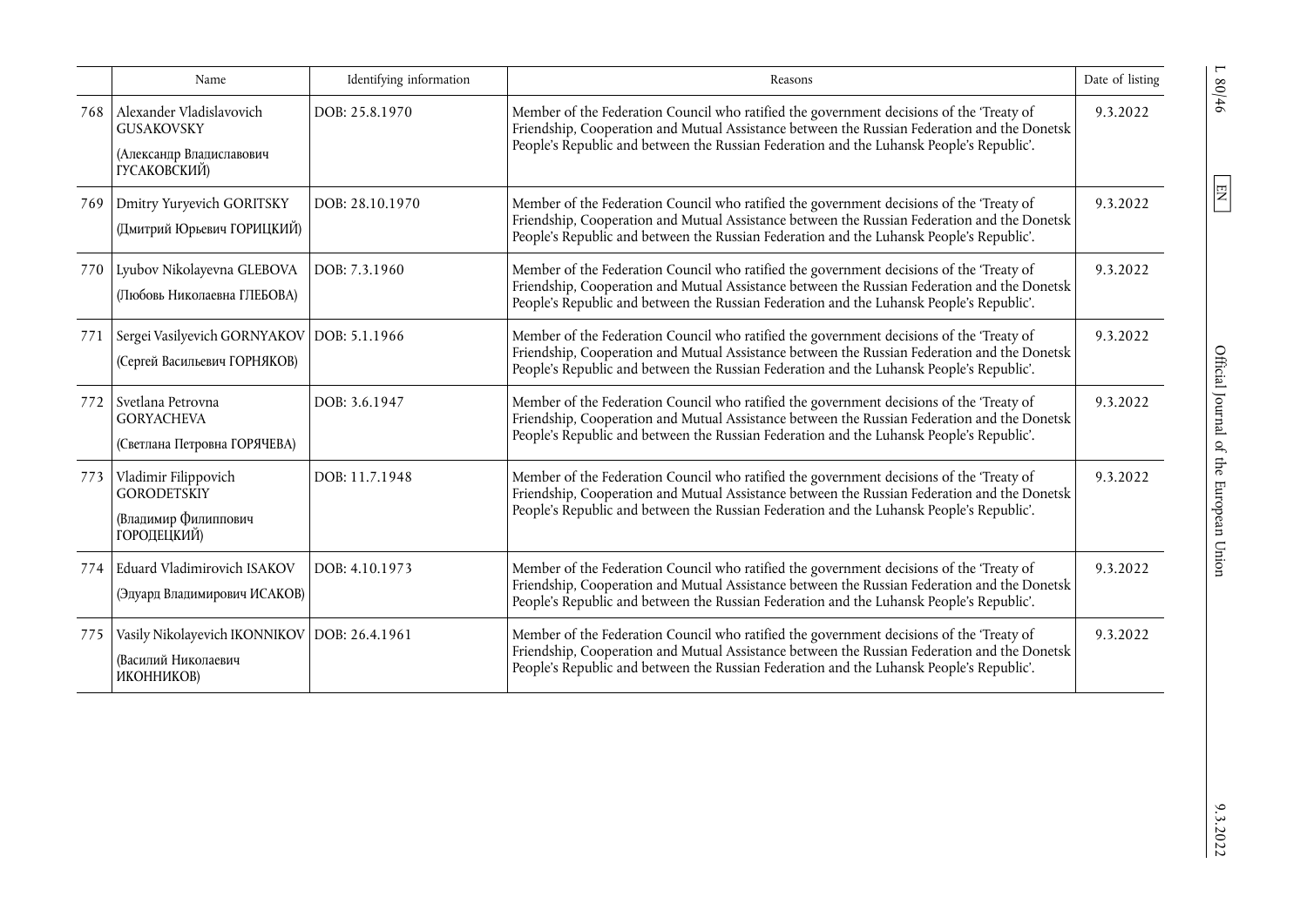|     | Name                                                                                      | Identifying information | Reasons                                                                                                                                                                                                                                                                              | Date of listing |
|-----|-------------------------------------------------------------------------------------------|-------------------------|--------------------------------------------------------------------------------------------------------------------------------------------------------------------------------------------------------------------------------------------------------------------------------------|-----------------|
| 768 | Alexander Vladislavovich<br><b>GUSAKOVSKY</b><br>(Александр Владиславович<br>ГУСАКОВСКИЙ) | DOB: 25.8.1970          | Member of the Federation Council who ratified the government decisions of the 'Treaty of<br>Friendship, Cooperation and Mutual Assistance between the Russian Federation and the Donetsk<br>People's Republic and between the Russian Federation and the Luhansk People's Republic'. | 9.3.2022        |
| 769 | Dmitry Yuryevich GORITSKY<br>(Дмитрий Юрьевич ГОРИЦКИЙ)                                   | DOB: 28.10.1970         | Member of the Federation Council who ratified the government decisions of the 'Treaty of<br>Friendship, Cooperation and Mutual Assistance between the Russian Federation and the Donetsk<br>People's Republic and between the Russian Federation and the Luhansk People's Republic'. | 9.3.2022        |
| 770 | Lyubov Nikolayevna GLEBOVA<br>(Любовь Николаевна ГЛЕБОВА)                                 | DOB: 7.3.1960           | Member of the Federation Council who ratified the government decisions of the 'Treaty of<br>Friendship, Cooperation and Mutual Assistance between the Russian Federation and the Donetsk<br>People's Republic and between the Russian Federation and the Luhansk People's Republic'. | 9.3.2022        |
| 771 | Sergei Vasilyevich GORNYAKOV   DOB: 5.1.1966<br>(Сергей Васильевич ГОРНЯКОВ)              |                         | Member of the Federation Council who ratified the government decisions of the 'Treaty of<br>Friendship, Cooperation and Mutual Assistance between the Russian Federation and the Donetsk<br>People's Republic and between the Russian Federation and the Luhansk People's Republic'. | 9.3.2022        |
| 772 | Svetlana Petrovna<br><b>GORYACHEVA</b><br>(Светлана Петровна ГОРЯЧЕВА)                    | DOB: 3.6.1947           | Member of the Federation Council who ratified the government decisions of the 'Treaty of<br>Friendship, Cooperation and Mutual Assistance between the Russian Federation and the Donetsk<br>People's Republic and between the Russian Federation and the Luhansk People's Republic'. | 9.3.2022        |
| 773 | Vladimir Filippovich<br><b>GORODETSKIY</b><br>(Владимир Филиппович<br>ГОРОДЕЦКИЙ)         | DOB: 11.7.1948          | Member of the Federation Council who ratified the government decisions of the 'Treaty of<br>Friendship, Cooperation and Mutual Assistance between the Russian Federation and the Donetsk<br>People's Republic and between the Russian Federation and the Luhansk People's Republic'. | 9.3.2022        |
| 774 | Eduard Vladimirovich ISAKOV<br>(Эдуард Владимирович ИСАКОВ)                               | DOB: 4.10.1973          | Member of the Federation Council who ratified the government decisions of the 'Treaty of<br>Friendship, Cooperation and Mutual Assistance between the Russian Federation and the Donetsk<br>People's Republic and between the Russian Federation and the Luhansk People's Republic'. | 9.3.2022        |
| 775 | Vasily Nikolayevich IKONNIKOV   DOB: 26.4.1961<br>(Василий Николаевич<br>ИКОННИКОВ)       |                         | Member of the Federation Council who ratified the government decisions of the 'Treaty of<br>Friendship, Cooperation and Mutual Assistance between the Russian Federation and the Donetsk<br>People's Republic and between the Russian Federation and the Luhansk People's Republic'. | 9.3.2022        |

 $1.80/46$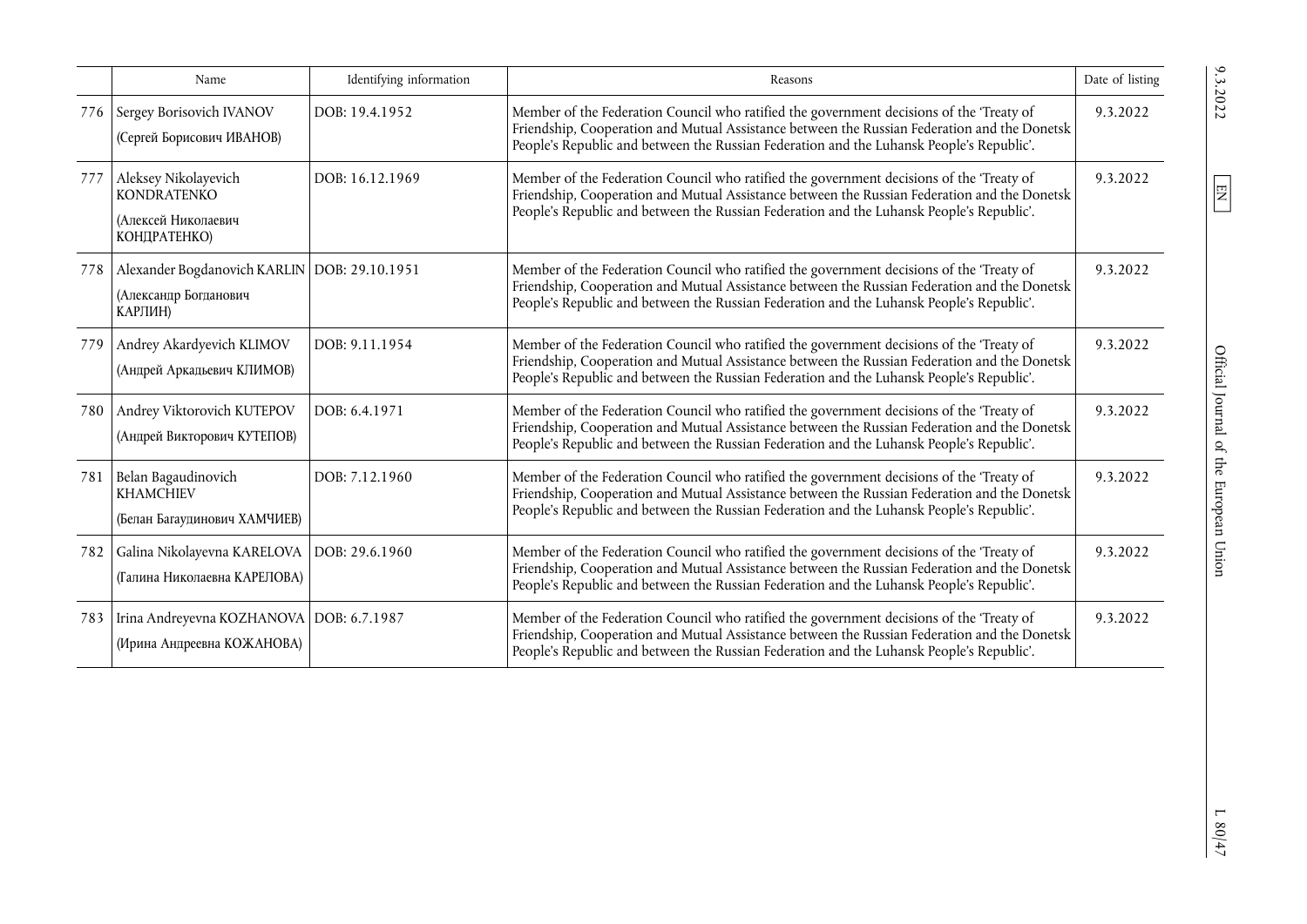|     | Name                                                                               | Identifying information | Reasons                                                                                                                                                                                                                                                                              | Date of listing |
|-----|------------------------------------------------------------------------------------|-------------------------|--------------------------------------------------------------------------------------------------------------------------------------------------------------------------------------------------------------------------------------------------------------------------------------|-----------------|
| 776 | Sergey Borisovich IVANOV<br>(Сергей Борисович ИВАНОВ)                              | DOB: 19.4.1952          | Member of the Federation Council who ratified the government decisions of the 'Treaty of<br>Friendship, Cooperation and Mutual Assistance between the Russian Federation and the Donetsk<br>People's Republic and between the Russian Federation and the Luhansk People's Republic'. | 9.3.2022        |
| 777 | Aleksey Nikolayevich<br><b>KONDRATENKO</b><br>(Алексей Николаевич<br>КОНДРАТЕНКО)  | DOB: 16.12.1969         | Member of the Federation Council who ratified the government decisions of the 'Treaty of<br>Friendship, Cooperation and Mutual Assistance between the Russian Federation and the Donetsk<br>People's Republic and between the Russian Federation and the Luhansk People's Republic'. | 9.3.2022        |
| 778 | Alexander Bogdanovich KARLIN   DOB: 29.10.1951<br>(Александр Богданович<br>КАРЛИН) |                         | Member of the Federation Council who ratified the government decisions of the 'Treaty of<br>Friendship, Cooperation and Mutual Assistance between the Russian Federation and the Donetsk<br>People's Republic and between the Russian Federation and the Luhansk People's Republic'. | 9.3.2022        |
| 779 | Andrey Akardyevich KLIMOV<br>(Андрей Аркадьевич КЛИМОВ)                            | DOB: 9.11.1954          | Member of the Federation Council who ratified the government decisions of the 'Treaty of<br>Friendship, Cooperation and Mutual Assistance between the Russian Federation and the Donetsk<br>People's Republic and between the Russian Federation and the Luhansk People's Republic'. | 9.3.2022        |
| 780 | Andrey Viktorovich KUTEPOV<br>(Андрей Викторович КУТЕПОВ)                          | DOB: 6.4.1971           | Member of the Federation Council who ratified the government decisions of the 'Treaty of<br>Friendship, Cooperation and Mutual Assistance between the Russian Federation and the Donetsk<br>People's Republic and between the Russian Federation and the Luhansk People's Republic'. | 9.3.2022        |
| 781 | Belan Bagaudinovich<br><b>KHAMCHIEV</b><br>(Белан Багаудинович ХАМЧИЕВ)            | DOB: 7.12.1960          | Member of the Federation Council who ratified the government decisions of the 'Treaty of<br>Friendship, Cooperation and Mutual Assistance between the Russian Federation and the Donetsk<br>People's Republic and between the Russian Federation and the Luhansk People's Republic'. | 9.3.2022        |
| 782 | Galina Nikolayevna KARELOVA   DOB: 29.6.1960<br>(Галина Николаевна КАРЕЛОВА)       |                         | Member of the Federation Council who ratified the government decisions of the 'Treaty of<br>Friendship, Cooperation and Mutual Assistance between the Russian Federation and the Donetsk<br>People's Republic and between the Russian Federation and the Luhansk People's Republic'. | 9.3.2022        |
| 783 | Irina Andreyevna KOZHANOVA   DOB: 6.7.1987<br>(Ирина Андреевна КОЖАНОВА)           |                         | Member of the Federation Council who ratified the government decisions of the 'Treaty of<br>Friendship, Cooperation and Mutual Assistance between the Russian Federation and the Donetsk<br>People's Republic and between the Russian Federation and the Luhansk People's Republic'. | 9.3.2022        |

 $L$  80/47  $\,$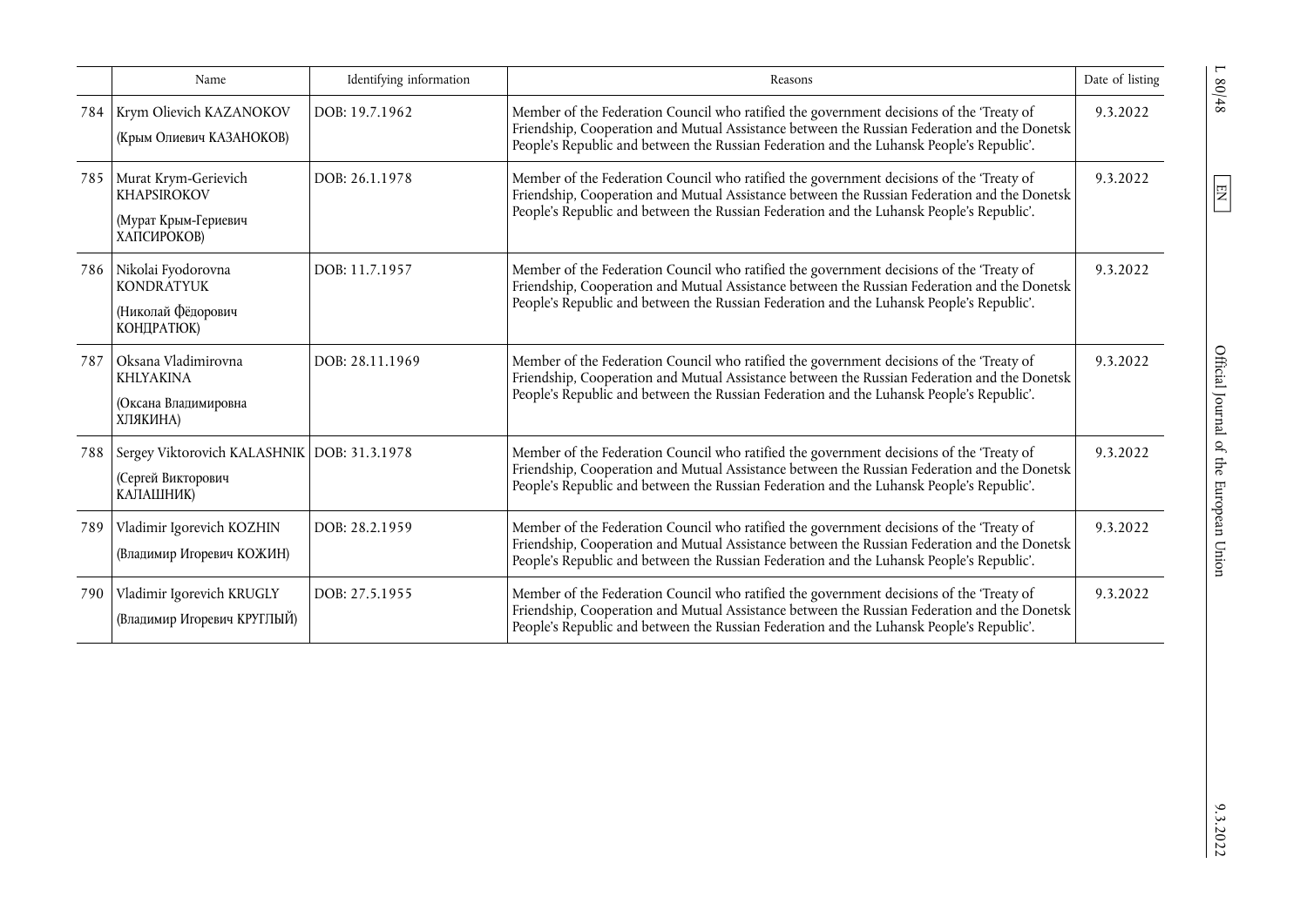|     | Name                                                                              | Identifying information | Reasons                                                                                                                                                                                                                                                                              | Date of listing |
|-----|-----------------------------------------------------------------------------------|-------------------------|--------------------------------------------------------------------------------------------------------------------------------------------------------------------------------------------------------------------------------------------------------------------------------------|-----------------|
| 784 | Krym Olievich KAZANOKOV<br>(Крым Олиевич КАЗАНОКОВ)                               | DOB: 19.7.1962          | Member of the Federation Council who ratified the government decisions of the 'Treaty of<br>Friendship, Cooperation and Mutual Assistance between the Russian Federation and the Donetsk<br>People's Republic and between the Russian Federation and the Luhansk People's Republic'. | 9.3.2022        |
| 785 | Murat Krym-Gerievich<br><b>KHAPSIROKOV</b><br>(Мурат Крым-Гериевич<br>ХАПСИРОКОВ) | DOB: 26.1.1978          | Member of the Federation Council who ratified the government decisions of the 'Treaty of<br>Friendship, Cooperation and Mutual Assistance between the Russian Federation and the Donetsk<br>People's Republic and between the Russian Federation and the Luhansk People's Republic'. | 9.3.2022        |
| 786 | Nikolai Fyodorovna<br><b>KONDRATYUK</b><br>(Николай Фёдорович<br>КОНДРАТЮК)       | DOB: 11.7.1957          | Member of the Federation Council who ratified the government decisions of the 'Treaty of<br>Friendship, Cooperation and Mutual Assistance between the Russian Federation and the Donetsk<br>People's Republic and between the Russian Federation and the Luhansk People's Republic'. | 9.3.2022        |
| 787 | Oksana Vladimirovna<br><b>KHLYAKINA</b><br>(Оксана Владимировна<br>ХЛЯКИНА)       | DOB: 28.11.1969         | Member of the Federation Council who ratified the government decisions of the 'Treaty of<br>Friendship, Cooperation and Mutual Assistance between the Russian Federation and the Donetsk<br>People's Republic and between the Russian Federation and the Luhansk People's Republic'. | 9.3.2022        |
| 788 | Sergey Viktorovich KALASHNIK   DOB: 31.3.1978<br>(Сергей Викторович<br>КАЛАШНИК)  |                         | Member of the Federation Council who ratified the government decisions of the 'Treaty of<br>Friendship, Cooperation and Mutual Assistance between the Russian Federation and the Donetsk<br>People's Republic and between the Russian Federation and the Luhansk People's Republic'. | 9.3.2022        |
| 789 | Vladimir Igorevich KOZHIN<br>(Владимир Игоревич КОЖИН)                            | DOB: 28.2.1959          | Member of the Federation Council who ratified the government decisions of the 'Treaty of<br>Friendship, Cooperation and Mutual Assistance between the Russian Federation and the Donetsk<br>People's Republic and between the Russian Federation and the Luhansk People's Republic'. | 9.3.2022        |
| 790 | Vladimir Igorevich KRUGLY<br>(Владимир Игоревич КРУГЛЫЙ)                          | DOB: 27.5.1955          | Member of the Federation Council who ratified the government decisions of the 'Treaty of<br>Friendship, Cooperation and Mutual Assistance between the Russian Federation and the Donetsk<br>People's Republic and between the Russian Federation and the Luhansk People's Republic'. | 9.3.2022        |

 $1.80/48$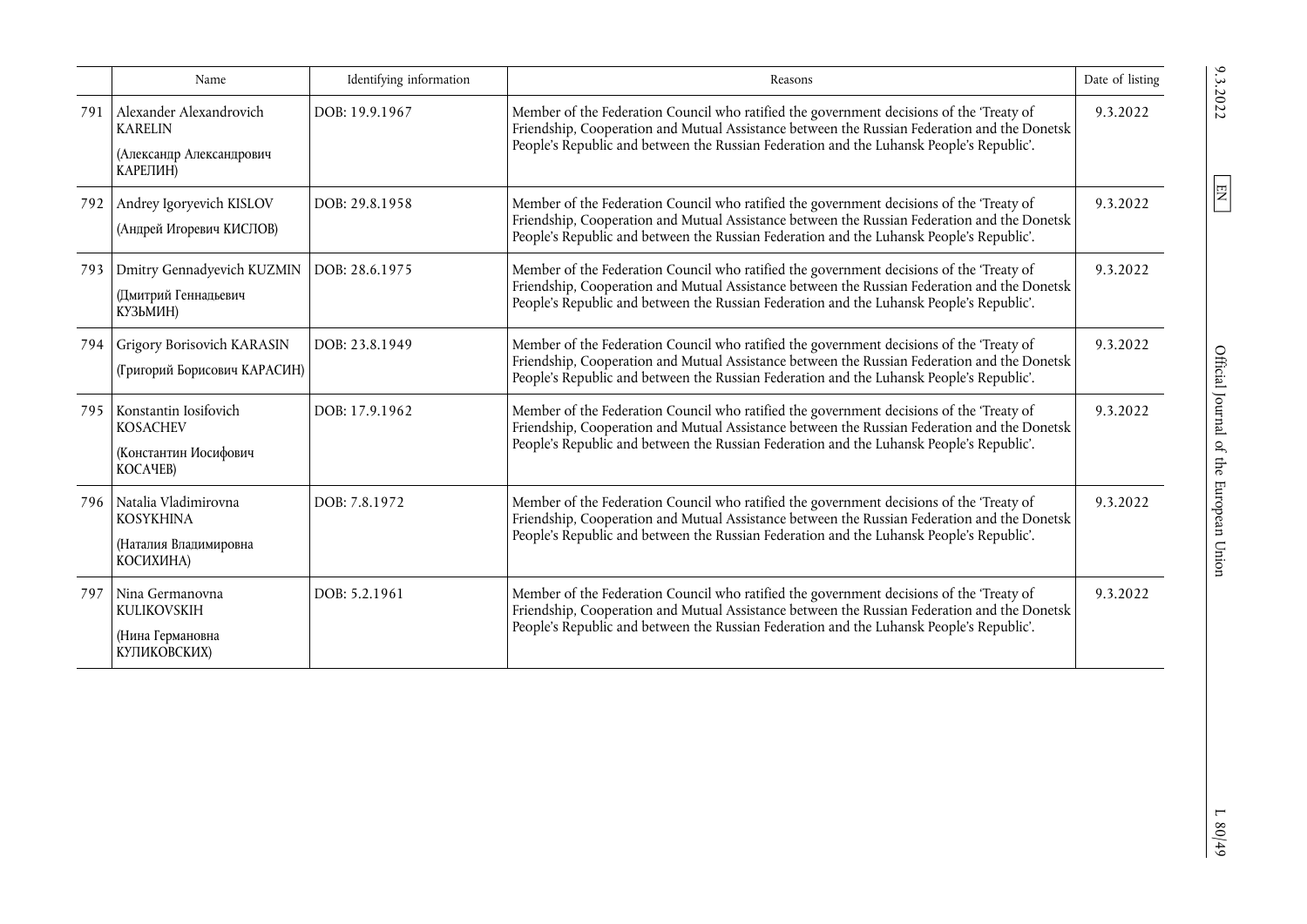|     | Name                                                                              | Identifying information | Reasons                                                                                                                                                                                                                                                                              | Date of listing |
|-----|-----------------------------------------------------------------------------------|-------------------------|--------------------------------------------------------------------------------------------------------------------------------------------------------------------------------------------------------------------------------------------------------------------------------------|-----------------|
| 791 | Alexander Alexandrovich<br><b>KARELIN</b><br>(Александр Александрович<br>КАРЕЛИН) | DOB: 19.9.1967          | Member of the Federation Council who ratified the government decisions of the 'Treaty of<br>Friendship, Cooperation and Mutual Assistance between the Russian Federation and the Donetsk<br>People's Republic and between the Russian Federation and the Luhansk People's Republic'. | 9.3.2022        |
| 792 | Andrey Igoryevich KISLOV<br>(Андрей Игоревич КИСЛОВ)                              | DOB: 29.8.1958          | Member of the Federation Council who ratified the government decisions of the 'Treaty of<br>Friendship, Cooperation and Mutual Assistance between the Russian Federation and the Donetsk<br>People's Republic and between the Russian Federation and the Luhansk People's Republic'. | 9.3.2022        |
| 793 | Dmitry Gennadyevich KUZMIN<br>(Дмитрий Геннадьевич<br>КУЗЬМИН)                    | DOB: 28.6.1975          | Member of the Federation Council who ratified the government decisions of the 'Treaty of<br>Friendship, Cooperation and Mutual Assistance between the Russian Federation and the Donetsk<br>People's Republic and between the Russian Federation and the Luhansk People's Republic'. | 9.3.2022        |
| 794 | Grigory Borisovich KARASIN<br>(Григорий Борисович КАРАСИН)                        | DOB: 23.8.1949          | Member of the Federation Council who ratified the government decisions of the 'Treaty of<br>Friendship, Cooperation and Mutual Assistance between the Russian Federation and the Donetsk<br>People's Republic and between the Russian Federation and the Luhansk People's Republic'. | 9.3.2022        |
|     | 795 Konstantin Iosifovich<br><b>KOSACHEV</b><br>(Константин Иосифович<br>KOCAYEB) | DOB: 17.9.1962          | Member of the Federation Council who ratified the government decisions of the 'Treaty of<br>Friendship, Cooperation and Mutual Assistance between the Russian Federation and the Donetsk<br>People's Republic and between the Russian Federation and the Luhansk People's Republic'. | 9.3.2022        |
| 796 | Natalia Vladimirovna<br><b>KOSYKHINA</b><br>(Наталия Владимировна<br>КОСИХИНА)    | DOB: 7.8.1972           | Member of the Federation Council who ratified the government decisions of the 'Treaty of<br>Friendship, Cooperation and Mutual Assistance between the Russian Federation and the Donetsk<br>People's Republic and between the Russian Federation and the Luhansk People's Republic'. | 9.3.2022        |
| 797 | Nina Germanovna<br><b>KULIKOVSKIH</b><br>(Нина Германовна<br>КУПИКОВСКИХ)         | DOB: 5.2.1961           | Member of the Federation Council who ratified the government decisions of the 'Treaty of<br>Friendship, Cooperation and Mutual Assistance between the Russian Federation and the Donetsk<br>People's Republic and between the Russian Federation and the Luhansk People's Republic'. | 9.3.2022        |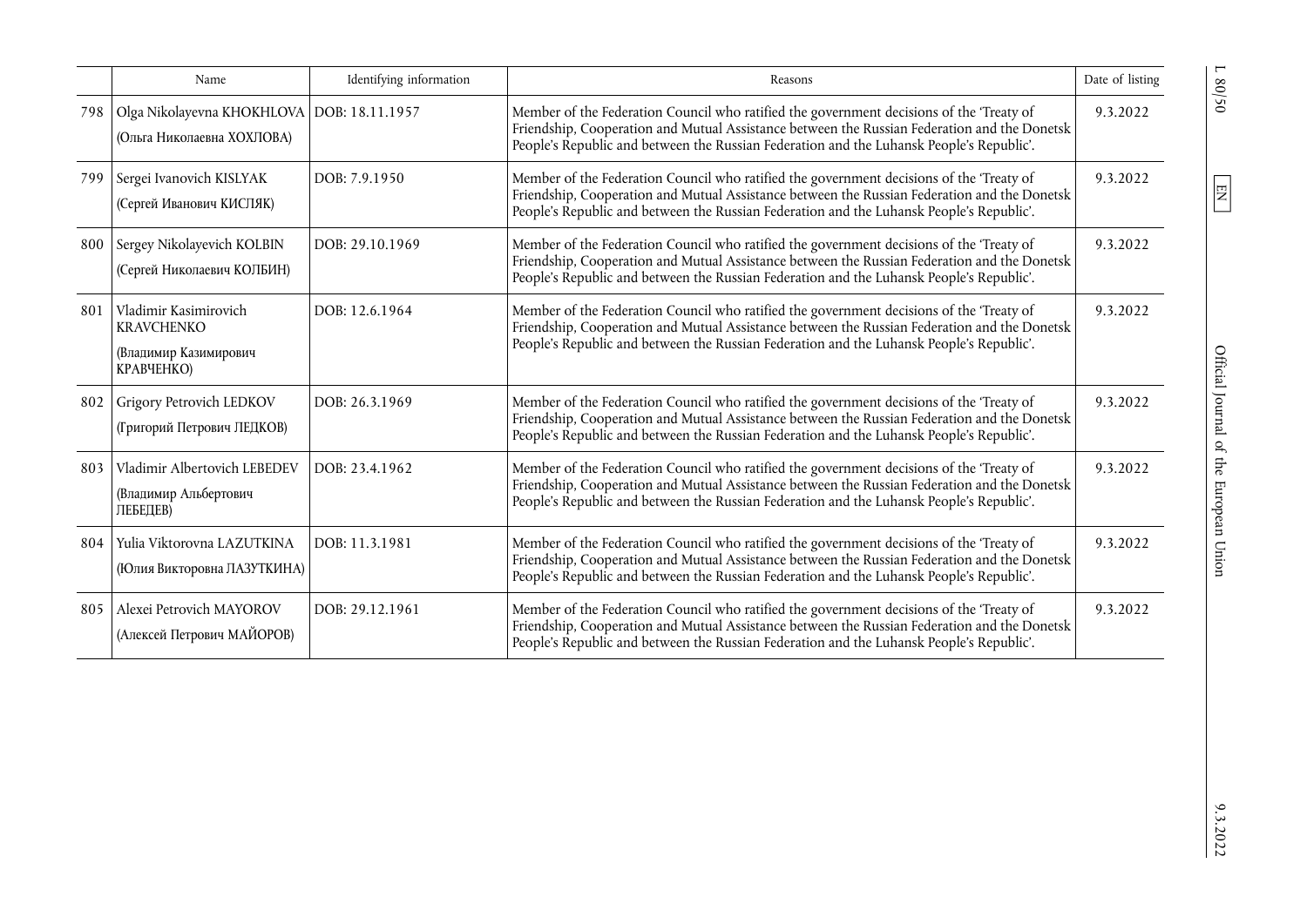|     | Name                                                                              | Identifying information | Reasons                                                                                                                                                                                                                                                                              | Date of listing |
|-----|-----------------------------------------------------------------------------------|-------------------------|--------------------------------------------------------------------------------------------------------------------------------------------------------------------------------------------------------------------------------------------------------------------------------------|-----------------|
| 798 | Olga Nikolayevna KHOKHLOVA   DOB: 18.11.1957<br>(Ольга Николаевна ХОХЛОВА)        |                         | Member of the Federation Council who ratified the government decisions of the 'Treaty of<br>Friendship, Cooperation and Mutual Assistance between the Russian Federation and the Donetsk<br>People's Republic and between the Russian Federation and the Luhansk People's Republic'. | 9.3.2022        |
| 799 | Sergei Ivanovich KISLYAK<br>(Сергей Иванович КИСЛЯК)                              | DOB: 7.9.1950           | Member of the Federation Council who ratified the government decisions of the 'Treaty of<br>Friendship, Cooperation and Mutual Assistance between the Russian Federation and the Donetsk<br>People's Republic and between the Russian Federation and the Luhansk People's Republic'. | 9.3.2022        |
| 800 | Sergey Nikolayevich KOLBIN<br>(Сергей Николаевич КОЛБИН)                          | DOB: 29.10.1969         | Member of the Federation Council who ratified the government decisions of the 'Treaty of<br>Friendship, Cooperation and Mutual Assistance between the Russian Federation and the Donetsk<br>People's Republic and between the Russian Federation and the Luhansk People's Republic'. | 9.3.2022        |
| 801 | Vladimir Kasimirovich<br><b>KRAVCHENKO</b><br>(Владимир Казимирович<br>КРАВЧЕНКО) | DOB: 12.6.1964          | Member of the Federation Council who ratified the government decisions of the 'Treaty of<br>Friendship, Cooperation and Mutual Assistance between the Russian Federation and the Donetsk<br>People's Republic and between the Russian Federation and the Luhansk People's Republic'. | 9.3.2022        |
| 802 | Grigory Petrovich LEDKOV<br>(Григорий Петрович ЛЕДКОВ)                            | DOB: 26.3.1969          | Member of the Federation Council who ratified the government decisions of the 'Treaty of<br>Friendship, Cooperation and Mutual Assistance between the Russian Federation and the Donetsk<br>People's Republic and between the Russian Federation and the Luhansk People's Republic'. | 9.3.2022        |
| 803 | Vladimir Albertovich LEBEDEV<br>(Владимир Альбертович<br>ЛЕБЕДЕВ)                 | DOB: 23.4.1962          | Member of the Federation Council who ratified the government decisions of the 'Treaty of<br>Friendship, Cooperation and Mutual Assistance between the Russian Federation and the Donetsk<br>People's Republic and between the Russian Federation and the Luhansk People's Republic'. | 9.3.2022        |
| 804 | Yulia Viktorovna LAZUTKINA<br>(Юлия Викторовна ЛАЗУТКИНА)                         | DOB: 11.3.1981          | Member of the Federation Council who ratified the government decisions of the 'Treaty of<br>Friendship, Cooperation and Mutual Assistance between the Russian Federation and the Donetsk<br>People's Republic and between the Russian Federation and the Luhansk People's Republic'. | 9.3.2022        |
| 805 | Alexei Petrovich MAYOROV<br>(Алексей Петрович МАЙОРОВ)                            | DOB: 29.12.1961         | Member of the Federation Council who ratified the government decisions of the 'Treaty of<br>Friendship, Cooperation and Mutual Assistance between the Russian Federation and the Donetsk<br>People's Republic and between the Russian Federation and the Luhansk People's Republic'. | 9.3.2022        |

 $\frac{9.3.2022}{2}$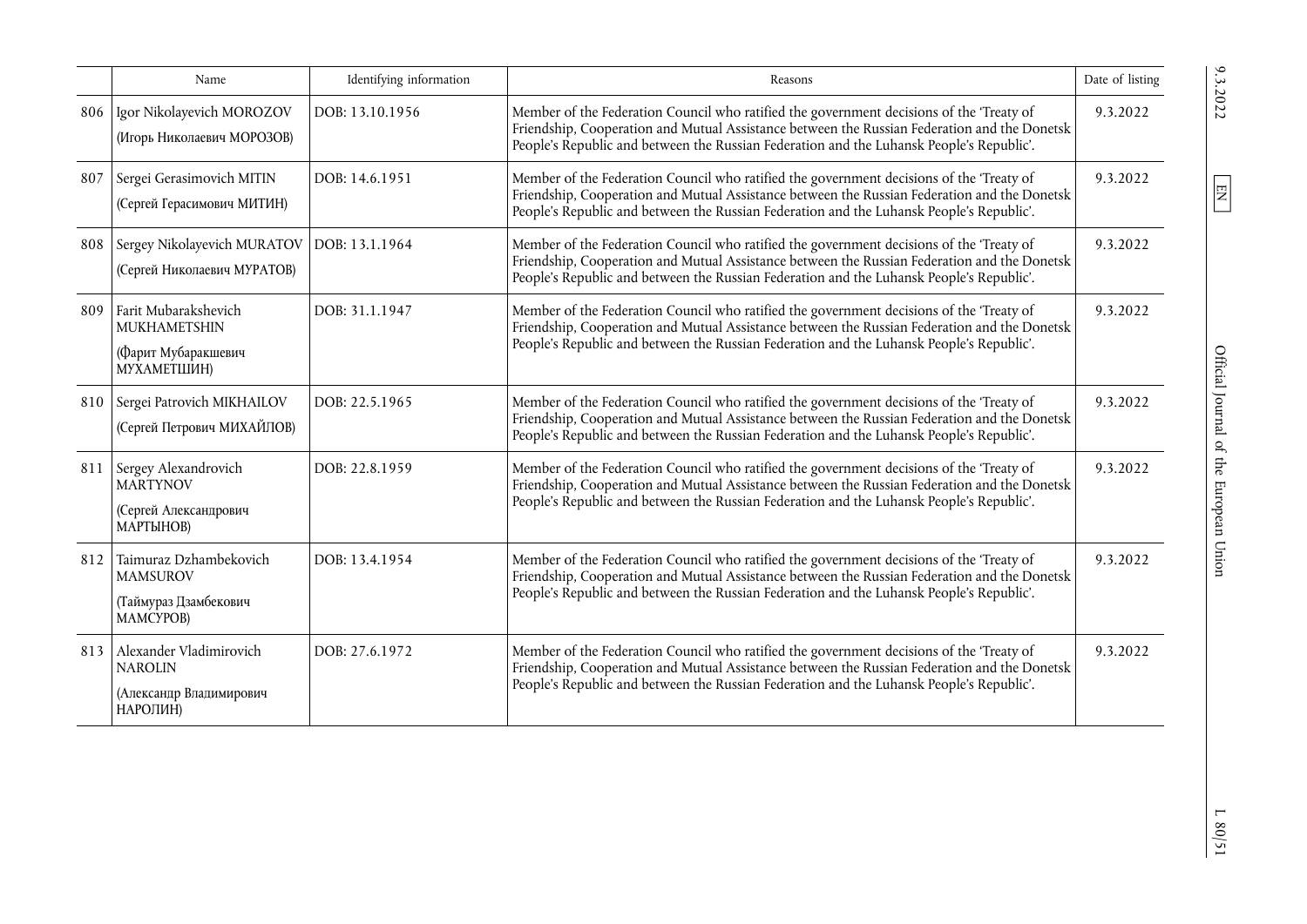|     | Name                                                                             | Identifying information | Reasons                                                                                                                                                                                                                                                                              | Date of listing |
|-----|----------------------------------------------------------------------------------|-------------------------|--------------------------------------------------------------------------------------------------------------------------------------------------------------------------------------------------------------------------------------------------------------------------------------|-----------------|
| 806 | Igor Nikolayevich MOROZOV<br>(Игорь Николаевич МОРОЗОВ)                          | DOB: 13.10.1956         | Member of the Federation Council who ratified the government decisions of the 'Treaty of<br>Friendship, Cooperation and Mutual Assistance between the Russian Federation and the Donetsk<br>People's Republic and between the Russian Federation and the Luhansk People's Republic'. | 9.3.2022        |
| 807 | Sergei Gerasimovich MITIN<br>(Сергей Герасимович МИТИН)                          | DOB: 14.6.1951          | Member of the Federation Council who ratified the government decisions of the 'Treaty of<br>Friendship, Cooperation and Mutual Assistance between the Russian Federation and the Donetsk<br>People's Republic and between the Russian Federation and the Luhansk People's Republic'. | 9.3.2022        |
| 808 | Sergey Nikolayevich MURATOV<br>(Сергей Николаевич МУРАТОВ)                       | DOB: 13.1.1964          | Member of the Federation Council who ratified the government decisions of the 'Treaty of<br>Friendship, Cooperation and Mutual Assistance between the Russian Federation and the Donetsk<br>People's Republic and between the Russian Federation and the Luhansk People's Republic'. | 9.3.2022        |
| 809 | Farit Mubarakshevich<br>MUKHAMETSHIN<br>(Фарит Мубаракшевич<br>МУХАМЕТШИН)       | DOB: 31.1.1947          | Member of the Federation Council who ratified the government decisions of the 'Treaty of<br>Friendship, Cooperation and Mutual Assistance between the Russian Federation and the Donetsk<br>People's Republic and between the Russian Federation and the Luhansk People's Republic'. | 9.3.2022        |
| 810 | Sergei Patrovich MIKHAILOV<br>(Сергей Петрович МИХАЙЛОВ)                         | DOB: 22.5.1965          | Member of the Federation Council who ratified the government decisions of the 'Treaty of<br>Friendship, Cooperation and Mutual Assistance between the Russian Federation and the Donetsk<br>People's Republic and between the Russian Federation and the Luhansk People's Republic'. | 9.3.2022        |
| 811 | Sergey Alexandrovich<br><b>MARTYNOV</b><br>(Сергей Александрович<br>МАРТЫНОВ)    | DOB: 22.8.1959          | Member of the Federation Council who ratified the government decisions of the 'Treaty of<br>Friendship, Cooperation and Mutual Assistance between the Russian Federation and the Donetsk<br>People's Republic and between the Russian Federation and the Luhansk People's Republic'. | 9.3.2022        |
| 812 | Taimuraz Dzhambekovich<br><b>MAMSUROV</b><br>(Таймураз Дзамбекович<br>MAMCYPOB)  | DOB: 13.4.1954          | Member of the Federation Council who ratified the government decisions of the 'Treaty of<br>Friendship, Cooperation and Mutual Assistance between the Russian Federation and the Donetsk<br>People's Republic and between the Russian Federation and the Luhansk People's Republic'. | 9.3.2022        |
| 813 | Alexander Vladimirovich<br><b>NAROLIN</b><br>(Александр Владимирович<br>НАРОЛИН) | DOB: 27.6.1972          | Member of the Federation Council who ratified the government decisions of the 'Treaty of<br>Friendship, Cooperation and Mutual Assistance between the Russian Federation and the Donetsk<br>People's Republic and between the Russian Federation and the Luhansk People's Republic'. | 9.3.2022        |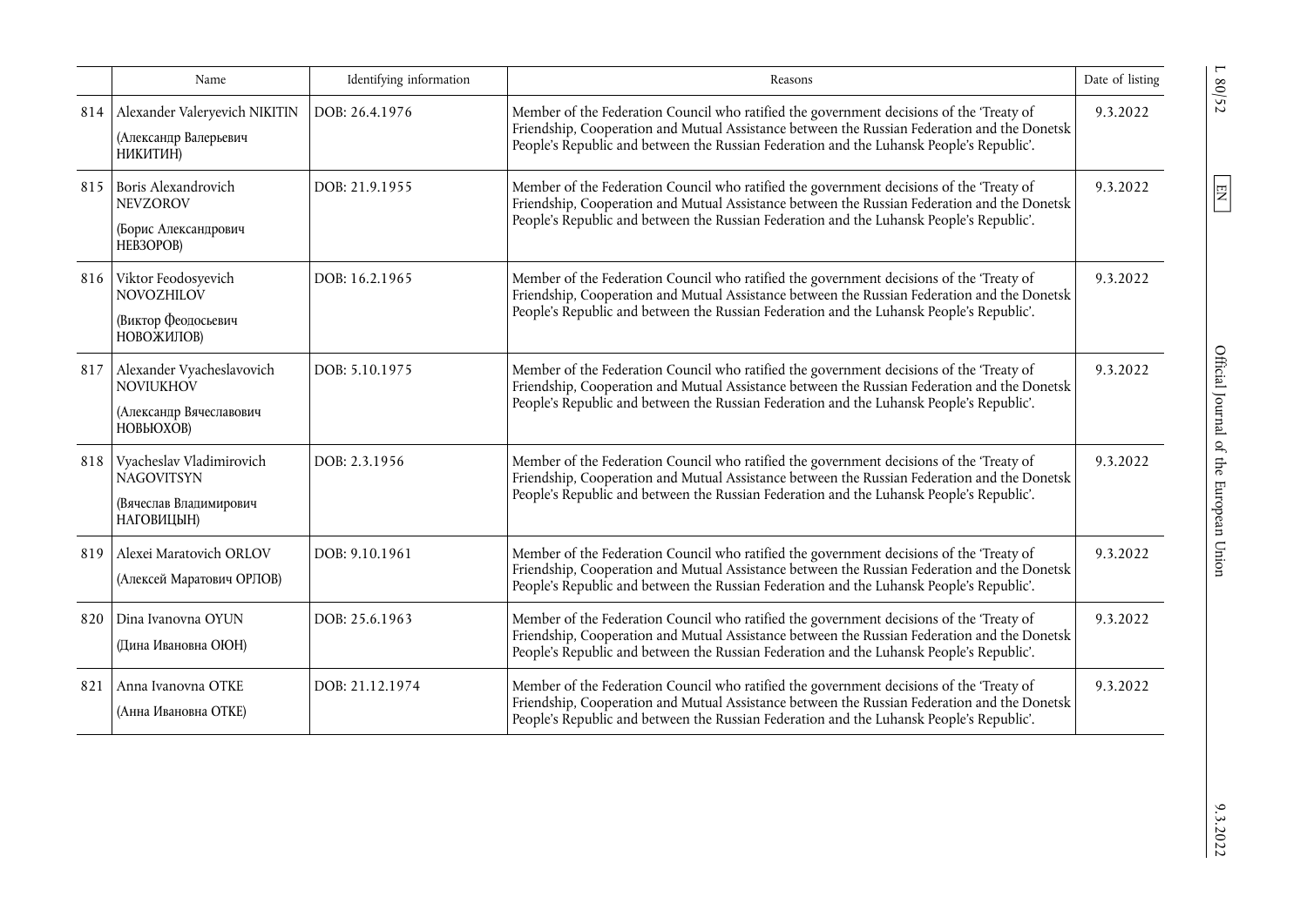|     | Name                                                                                         | Identifying information | Reasons                                                                                                                                                                                                                                                                              | Date of listing |
|-----|----------------------------------------------------------------------------------------------|-------------------------|--------------------------------------------------------------------------------------------------------------------------------------------------------------------------------------------------------------------------------------------------------------------------------------|-----------------|
| 814 | Alexander Valeryevich NIKITIN<br>(Александр Валерьевич<br>НИКИТИН)                           | DOB: 26.4.1976          | Member of the Federation Council who ratified the government decisions of the 'Treaty of<br>Friendship, Cooperation and Mutual Assistance between the Russian Federation and the Donetsk<br>People's Republic and between the Russian Federation and the Luhansk People's Republic'. | 9.3.2022        |
| 815 | Boris Alexandrovich<br><b>NEVZOROV</b><br>(Борис Александрович<br>HEB3OPOB)                  | DOB: 21.9.1955          | Member of the Federation Council who ratified the government decisions of the 'Treaty of<br>Friendship, Cooperation and Mutual Assistance between the Russian Federation and the Donetsk<br>People's Republic and between the Russian Federation and the Luhansk People's Republic'. | 9.3.2022        |
| 816 | Viktor Feodosyevich<br><b>NOVOZHILOV</b><br>(Виктор Феодосьевич<br>НОВОЖИЛОВ)                | DOB: 16.2.1965          | Member of the Federation Council who ratified the government decisions of the 'Treaty of<br>Friendship, Cooperation and Mutual Assistance between the Russian Federation and the Donetsk<br>People's Republic and between the Russian Federation and the Luhansk People's Republic'. | 9.3.2022        |
| 817 | Alexander Vyacheslavovich<br><b>NOVIUKHOV</b><br>(Александр Вячеславович<br><b>НОВЬЮХОВ)</b> | DOB: 5.10.1975          | Member of the Federation Council who ratified the government decisions of the 'Treaty of<br>Friendship, Cooperation and Mutual Assistance between the Russian Federation and the Donetsk<br>People's Republic and between the Russian Federation and the Luhansk People's Republic'. | 9.3.2022        |
| 818 | Vyacheslav Vladimirovich<br><b>NAGOVITSYN</b><br>(Вячеслав Владимирович<br>НАГОВИЦЫН)        | DOB: 2.3.1956           | Member of the Federation Council who ratified the government decisions of the 'Treaty of<br>Friendship, Cooperation and Mutual Assistance between the Russian Federation and the Donetsk<br>People's Republic and between the Russian Federation and the Luhansk People's Republic'. | 9.3.2022        |
| 819 | Alexei Maratovich ORLOV<br>(Алексей Маратович ОРЛОВ)                                         | DOB: 9.10.1961          | Member of the Federation Council who ratified the government decisions of the 'Treaty of<br>Friendship, Cooperation and Mutual Assistance between the Russian Federation and the Donetsk<br>People's Republic and between the Russian Federation and the Luhansk People's Republic'. | 9.3.2022        |
| 820 | Dina Ivanovna OYUN<br>(Дина Ивановна ОЮН)                                                    | DOB: 25.6.1963          | Member of the Federation Council who ratified the government decisions of the 'Treaty of<br>Friendship, Cooperation and Mutual Assistance between the Russian Federation and the Donetsk<br>People's Republic and between the Russian Federation and the Luhansk People's Republic'. | 9.3.2022        |
| 821 | Anna Ivanovna OTKE<br>(Анна Ивановна ОТКЕ)                                                   | DOB: 21.12.1974         | Member of the Federation Council who ratified the government decisions of the 'Treaty of<br>Friendship, Cooperation and Mutual Assistance between the Russian Federation and the Donetsk<br>People's Republic and between the Russian Federation and the Luhansk People's Republic'. | 9.3.2022        |

L 80/52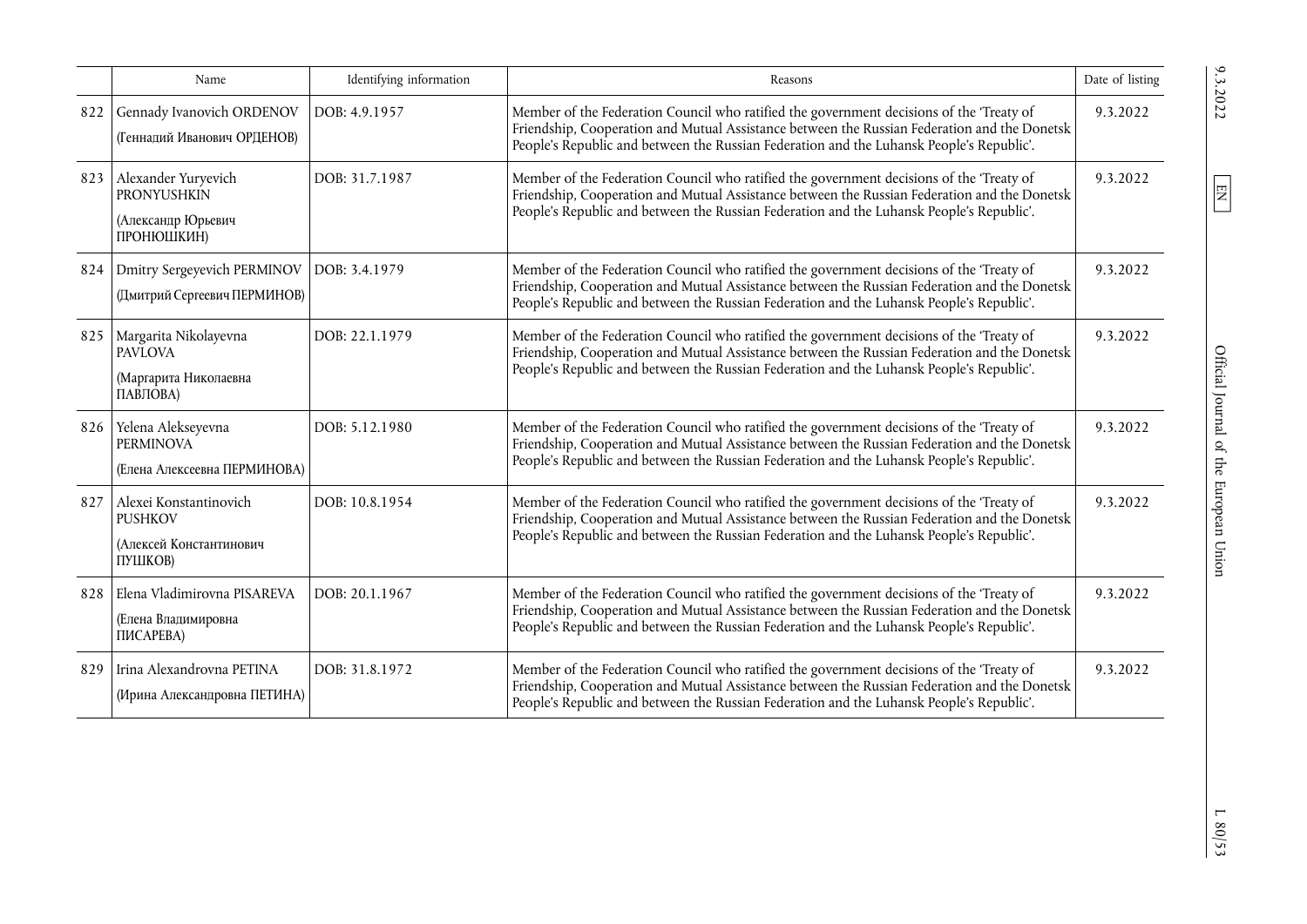|     | Name                                                                           | Identifying information | Reasons                                                                                                                                                                                                                                                                              | Date of listing |
|-----|--------------------------------------------------------------------------------|-------------------------|--------------------------------------------------------------------------------------------------------------------------------------------------------------------------------------------------------------------------------------------------------------------------------------|-----------------|
| 822 | Gennady Ivanovich ORDENOV<br>(Геннадий Иванович ОРДЕНОВ)                       | DOB: 4.9.1957           | Member of the Federation Council who ratified the government decisions of the 'Treaty of<br>Friendship, Cooperation and Mutual Assistance between the Russian Federation and the Donetsk<br>People's Republic and between the Russian Federation and the Luhansk People's Republic'. | 9.3.2022        |
| 823 | Alexander Yuryevich<br><b>PRONYUSHKIN</b><br>(Александр Юрьевич<br>ПРОНЮШКИН)  | DOB: 31.7.1987          | Member of the Federation Council who ratified the government decisions of the 'Treaty of<br>Friendship, Cooperation and Mutual Assistance between the Russian Federation and the Donetsk<br>People's Republic and between the Russian Federation and the Luhansk People's Republic'. | 9.3.2022        |
| 824 | Dmitry Sergeyevich PERMINOV<br>(Дмитрий Сергеевич ПЕРМИНОВ)                    | DOB: 3.4.1979           | Member of the Federation Council who ratified the government decisions of the 'Treaty of<br>Friendship, Cooperation and Mutual Assistance between the Russian Federation and the Donetsk<br>People's Republic and between the Russian Federation and the Luhansk People's Republic'. | 9.3.2022        |
| 825 | Margarita Nikolayevna<br><b>PAVLOVA</b><br>(Маргарита Николаевна<br>ПАВЛОВА)   | DOB: 22.1.1979          | Member of the Federation Council who ratified the government decisions of the 'Treaty of<br>Friendship, Cooperation and Mutual Assistance between the Russian Federation and the Donetsk<br>People's Republic and between the Russian Federation and the Luhansk People's Republic'. | 9.3.2022        |
| 826 | Yelena Alekseyevna<br><b>PERMINOVA</b><br>(Елена Алексеевна ПЕРМИНОВА)         | DOB: 5.12.1980          | Member of the Federation Council who ratified the government decisions of the 'Treaty of<br>Friendship, Cooperation and Mutual Assistance between the Russian Federation and the Donetsk<br>People's Republic and between the Russian Federation and the Luhansk People's Republic'. | 9.3.2022        |
| 827 | Alexei Konstantinovich<br><b>PUSHKOV</b><br>(Алексей Константинович<br>ПУШКОВ) | DOB: 10.8.1954          | Member of the Federation Council who ratified the government decisions of the 'Treaty of<br>Friendship, Cooperation and Mutual Assistance between the Russian Federation and the Donetsk<br>People's Republic and between the Russian Federation and the Luhansk People's Republic'. | 9.3.2022        |
| 828 | Elena Vladimirovna PISAREVA<br>(Елена Владимировна<br>ПИСАРЕВА)                | DOB: 20.1.1967          | Member of the Federation Council who ratified the government decisions of the 'Treaty of<br>Friendship, Cooperation and Mutual Assistance between the Russian Federation and the Donetsk<br>People's Republic and between the Russian Federation and the Luhansk People's Republic'. | 9.3.2022        |
| 829 | Irina Alexandrovna PETINA<br>(Ирина Александровна ПЕТИНА)                      | DOB: 31.8.1972          | Member of the Federation Council who ratified the government decisions of the 'Treaty of<br>Friendship, Cooperation and Mutual Assistance between the Russian Federation and the Donetsk<br>People's Republic and between the Russian Federation and the Luhansk People's Republic'. | 9.3.2022        |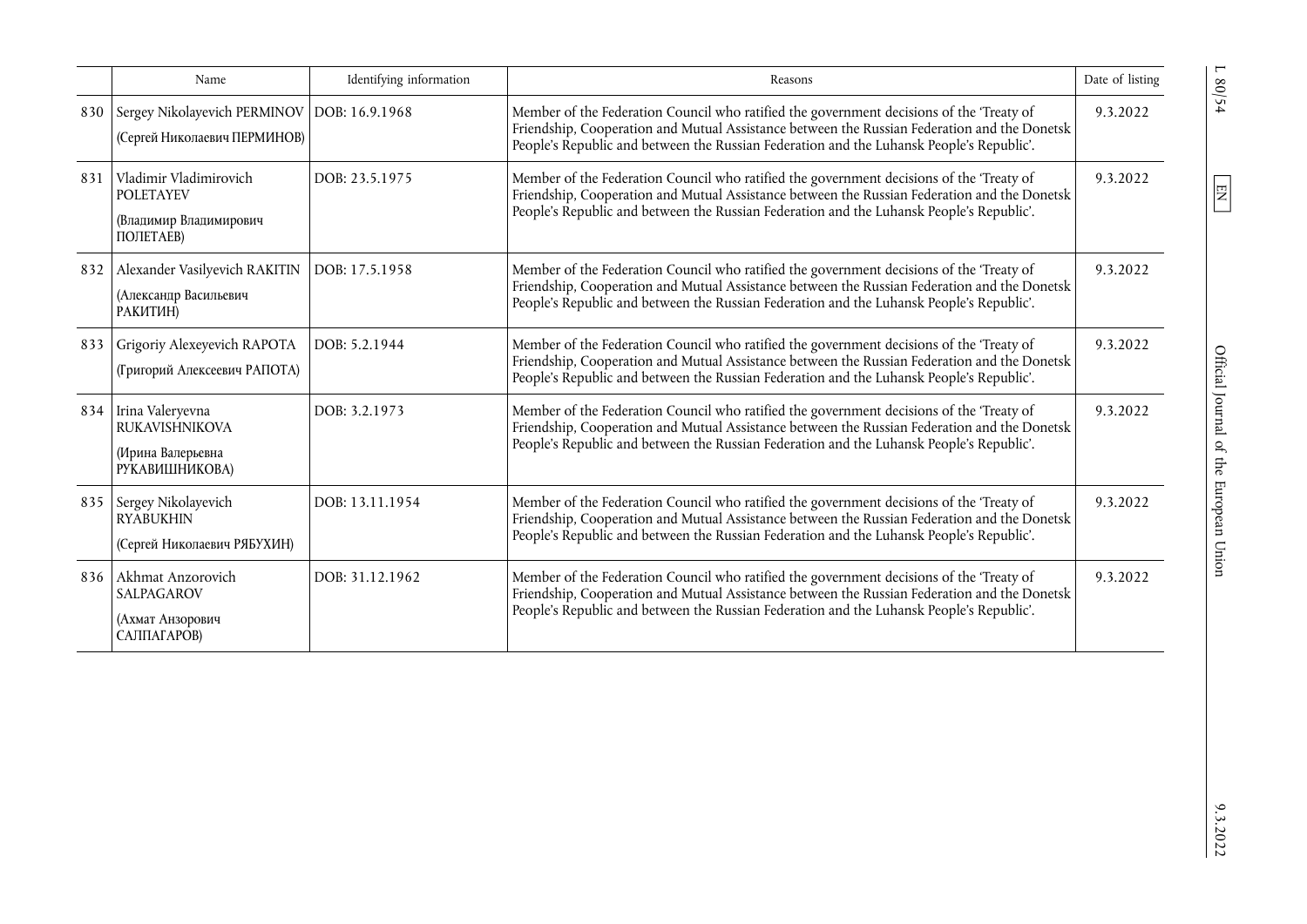|     | Name                                                                                 | Identifying information | Reasons                                                                                                                                                                                                                                                                              | Date of listing |
|-----|--------------------------------------------------------------------------------------|-------------------------|--------------------------------------------------------------------------------------------------------------------------------------------------------------------------------------------------------------------------------------------------------------------------------------|-----------------|
| 830 | Sergey Nikolayevich PERMINOV   DOB: 16.9.1968<br>(Сергей Николаевич ПЕРМИНОВ)        |                         | Member of the Federation Council who ratified the government decisions of the 'Treaty of<br>Friendship, Cooperation and Mutual Assistance between the Russian Federation and the Donetsk<br>People's Republic and between the Russian Federation and the Luhansk People's Republic'. | 9.3.2022        |
| 831 | Vladimir Vladimirovich<br><b>POLETAYEV</b><br>(Владимир Владимирович<br>ПОЛЕТАЕВ)    | DOB: 23.5.1975          | Member of the Federation Council who ratified the government decisions of the 'Treaty of<br>Friendship, Cooperation and Mutual Assistance between the Russian Federation and the Donetsk<br>People's Republic and between the Russian Federation and the Luhansk People's Republic'. | 9.3.2022        |
| 832 | Alexander Vasilyevich RAKITIN<br>(Александр Васильевич<br>РАКИТИН)                   | DOB: 17.5.1958          | Member of the Federation Council who ratified the government decisions of the 'Treaty of<br>Friendship, Cooperation and Mutual Assistance between the Russian Federation and the Donetsk<br>People's Republic and between the Russian Federation and the Luhansk People's Republic'. | 9.3.2022        |
| 833 | Grigoriy Alexeyevich RAPOTA<br>(Григорий Алексеевич РАПОТА)                          | DOB: 5.2.1944           | Member of the Federation Council who ratified the government decisions of the 'Treaty of<br>Friendship, Cooperation and Mutual Assistance between the Russian Federation and the Donetsk<br>People's Republic and between the Russian Federation and the Luhansk People's Republic'. | 9.3.2022        |
|     | 834 Irina Valeryevna<br><b>RUKAVISHNIKOVA</b><br>(Ирина Валерьевна<br>РУКАВИШНИКОВА) | DOB: 3.2.1973           | Member of the Federation Council who ratified the government decisions of the 'Treaty of<br>Friendship, Cooperation and Mutual Assistance between the Russian Federation and the Donetsk<br>People's Republic and between the Russian Federation and the Luhansk People's Republic'. | 9.3.2022        |
|     | 835 Sergey Nikolayevich<br><b>RYABUKHIN</b><br>(Сергей Николаевич РЯБУХИН)           | DOB: 13.11.1954         | Member of the Federation Council who ratified the government decisions of the 'Treaty of<br>Friendship, Cooperation and Mutual Assistance between the Russian Federation and the Donetsk<br>People's Republic and between the Russian Federation and the Luhansk People's Republic'. | 9.3.2022        |
| 836 | Akhmat Anzorovich<br><b>SALPAGAROV</b><br>(Ахмат Анзорович<br>САЛПАГАРОВ)            | DOB: 31.12.1962         | Member of the Federation Council who ratified the government decisions of the 'Treaty of<br>Friendship, Cooperation and Mutual Assistance between the Russian Federation and the Donetsk<br>People's Republic and between the Russian Federation and the Luhansk People's Republic'. | 9.3.2022        |

 $L 80/54$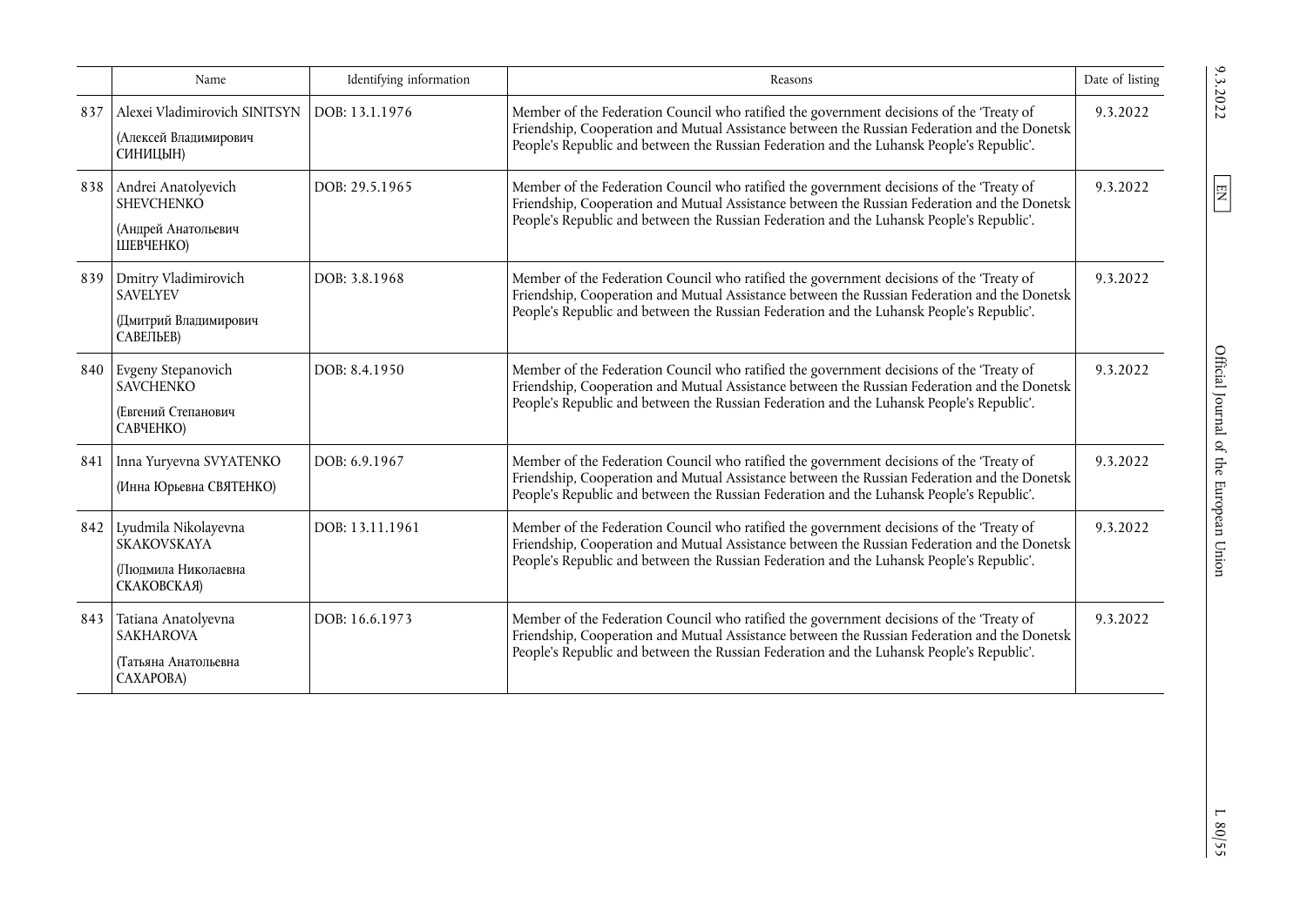|     | Name                                                                             | Identifying information | Reasons                                                                                                                                                                                                                                                                              | Date of listing |
|-----|----------------------------------------------------------------------------------|-------------------------|--------------------------------------------------------------------------------------------------------------------------------------------------------------------------------------------------------------------------------------------------------------------------------------|-----------------|
| 837 | Alexei Vladimirovich SINITSYN<br>(Алексей Владимирович<br>СИНИЦЫН)               | DOB: 13.1.1976          | Member of the Federation Council who ratified the government decisions of the 'Treaty of<br>Friendship, Cooperation and Mutual Assistance between the Russian Federation and the Donetsk<br>People's Republic and between the Russian Federation and the Luhansk People's Republic'. | 9.3.2022        |
| 838 | Andrei Anatolyevich<br><b>SHEVCHENKO</b><br>(Андрей Анатольевич<br>ШЕВЧЕНКО)     | DOB: 29.5.1965          | Member of the Federation Council who ratified the government decisions of the 'Treaty of<br>Friendship, Cooperation and Mutual Assistance between the Russian Federation and the Donetsk<br>People's Republic and between the Russian Federation and the Luhansk People's Republic'. | 9.3.2022        |
| 839 | Dmitry Vladimirovich<br><b>SAVELYEV</b><br>(Дмитрий Владимирович<br>САВЕЛЬЕВ)    | DOB: 3.8.1968           | Member of the Federation Council who ratified the government decisions of the 'Treaty of<br>Friendship, Cooperation and Mutual Assistance between the Russian Federation and the Donetsk<br>People's Republic and between the Russian Federation and the Luhansk People's Republic'. | 9.3.2022        |
| 840 | Evgeny Stepanovich<br><b>SAVCHENKO</b><br>(Евгений Степанович<br>САВЧЕНКО)       | DOB: 8.4.1950           | Member of the Federation Council who ratified the government decisions of the 'Treaty of<br>Friendship, Cooperation and Mutual Assistance between the Russian Federation and the Donetsk<br>People's Republic and between the Russian Federation and the Luhansk People's Republic'. | 9.3.2022        |
| 841 | Inna Yuryevna SVYATENKO<br>(Инна Юрьевна СВЯТЕНКО)                               | DOB: 6.9.1967           | Member of the Federation Council who ratified the government decisions of the 'Treaty of<br>Friendship, Cooperation and Mutual Assistance between the Russian Federation and the Donetsk<br>People's Republic and between the Russian Federation and the Luhansk People's Republic'. | 9.3.2022        |
| 842 | Lyudmila Nikolayevna<br><b>SKAKOVSKAYA</b><br>(Люпмила Николаевна<br>СКАКОВСКАЯ) | DOB: 13.11.1961         | Member of the Federation Council who ratified the government decisions of the 'Treaty of<br>Friendship, Cooperation and Mutual Assistance between the Russian Federation and the Donetsk<br>People's Republic and between the Russian Federation and the Luhansk People's Republic'. | 9.3.2022        |
| 843 | Tatiana Anatolyevna<br><b>SAKHAROVA</b><br>(Татьяна Анатольевна<br>CAXAPOBA)     | DOB: 16.6.1973          | Member of the Federation Council who ratified the government decisions of the 'Treaty of<br>Friendship, Cooperation and Mutual Assistance between the Russian Federation and the Donetsk<br>People's Republic and between the Russian Federation and the Luhansk People's Republic'. | 9.3.2022        |

 $\frac{20.232}{20.22}$  L  $\frac{1}{2}$  EN Official Journal of the European Union 9.3.2022 L 80/552 Official Journal of the European Union

 $9.3.2022$ 

 $\boxed{\text{EN}}$ 

 $L$  80/55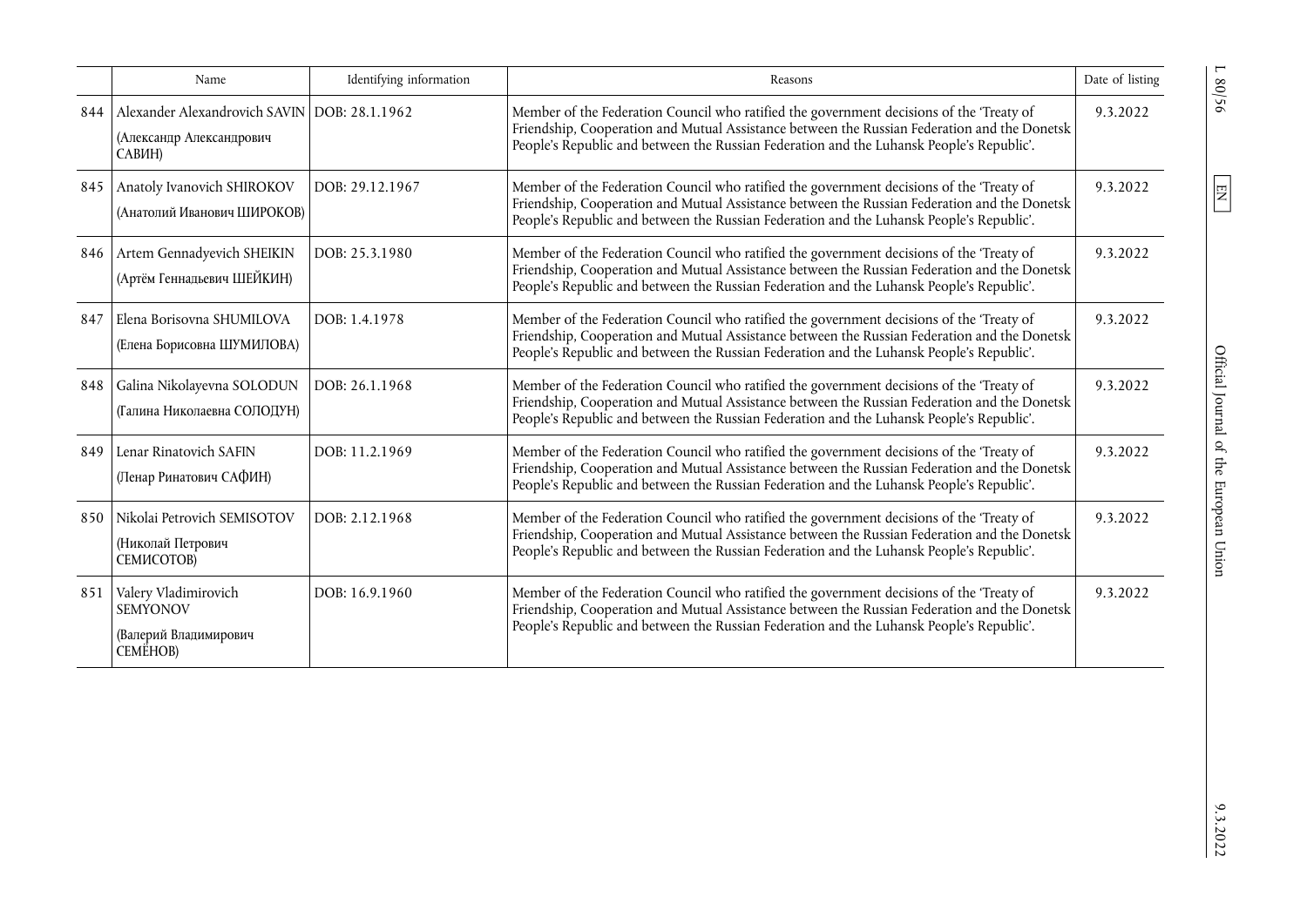|     | Name                                                                                 | Identifying information | Reasons                                                                                                                                                                                                                                                                              | Date of listing |
|-----|--------------------------------------------------------------------------------------|-------------------------|--------------------------------------------------------------------------------------------------------------------------------------------------------------------------------------------------------------------------------------------------------------------------------------|-----------------|
| 844 | Alexander Alexandrovich SAVIN DOB: 28.1.1962<br>(Александр Александрович<br>САВИН)   |                         | Member of the Federation Council who ratified the government decisions of the 'Treaty of<br>Friendship, Cooperation and Mutual Assistance between the Russian Federation and the Donetsk<br>People's Republic and between the Russian Federation and the Luhansk People's Republic'. | 9.3.2022        |
| 845 | Anatoly Ivanovich SHIROKOV<br>(Анатолий Иванович ШИРОКОВ)                            | DOB: 29.12.1967         | Member of the Federation Council who ratified the government decisions of the 'Treaty of<br>Friendship, Cooperation and Mutual Assistance between the Russian Federation and the Donetsk<br>People's Republic and between the Russian Federation and the Luhansk People's Republic'. | 9.3.2022        |
| 846 | Artem Gennadyevich SHEIKIN<br>(Артём Геннадьевич ШЕЙКИН)                             | DOB: 25.3.1980          | Member of the Federation Council who ratified the government decisions of the 'Treaty of<br>Friendship, Cooperation and Mutual Assistance between the Russian Federation and the Donetsk<br>People's Republic and between the Russian Federation and the Luhansk People's Republic'. | 9.3.2022        |
| 847 | Elena Borisovna SHUMILOVA<br>(Елена Борисовна ШУМИЛОВА)                              | DOB: 1.4.1978           | Member of the Federation Council who ratified the government decisions of the 'Treaty of<br>Friendship, Cooperation and Mutual Assistance between the Russian Federation and the Donetsk<br>People's Republic and between the Russian Federation and the Luhansk People's Republic'. | 9.3.2022        |
| 848 | Galina Nikolayevna SOLODUN<br>(Галина Николаевна СОЛОДУН)                            | DOB: 26.1.1968          | Member of the Federation Council who ratified the government decisions of the 'Treaty of<br>Friendship, Cooperation and Mutual Assistance between the Russian Federation and the Donetsk<br>People's Republic and between the Russian Federation and the Luhansk People's Republic'. | 9.3.2022        |
| 849 | Lenar Rinatovich SAFIN<br>(Ленар Ринатович САФИН)                                    | DOB: 11.2.1969          | Member of the Federation Council who ratified the government decisions of the 'Treaty of<br>Friendship, Cooperation and Mutual Assistance between the Russian Federation and the Donetsk<br>People's Republic and between the Russian Federation and the Luhansk People's Republic'. | 9.3.2022        |
| 850 | Nikolai Petrovich SEMISOTOV<br>(Николай Петрович<br><b>СЕМИСОТОВ)</b>                | DOB: 2.12.1968          | Member of the Federation Council who ratified the government decisions of the 'Treaty of<br>Friendship, Cooperation and Mutual Assistance between the Russian Federation and the Donetsk<br>People's Republic and between the Russian Federation and the Luhansk People's Republic'. | 9.3.2022        |
| 851 | Valery Vladimirovich<br><b>SEMYONOV</b><br>(Валерий Владимирович<br><b>CEMËHOB</b> ) | DOB: 16.9.1960          | Member of the Federation Council who ratified the government decisions of the 'Treaty of<br>Friendship, Cooperation and Mutual Assistance between the Russian Federation and the Donetsk<br>People's Republic and between the Russian Federation and the Luhansk People's Republic'. | 9.3.2022        |

 $1.80/56$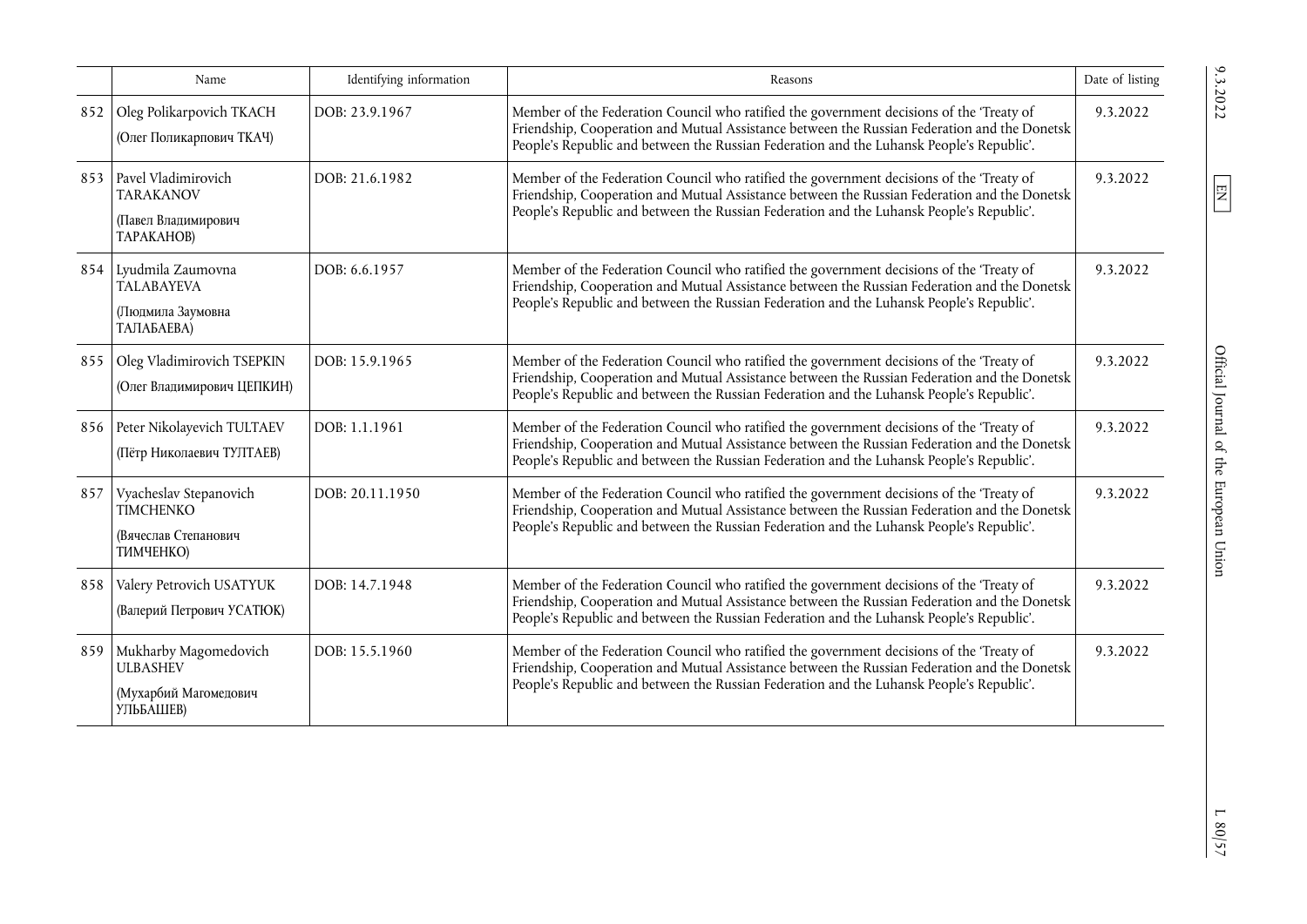|     | Name                                                                           | Identifying information | Reasons                                                                                                                                                                                                                                                                              | Date of listing |
|-----|--------------------------------------------------------------------------------|-------------------------|--------------------------------------------------------------------------------------------------------------------------------------------------------------------------------------------------------------------------------------------------------------------------------------|-----------------|
| 852 | Oleg Polikarpovich TKACH<br>(Олег Поликарпович ТКАЧ)                           | DOB: 23.9.1967          | Member of the Federation Council who ratified the government decisions of the 'Treaty of<br>Friendship, Cooperation and Mutual Assistance between the Russian Federation and the Donetsk<br>People's Republic and between the Russian Federation and the Luhansk People's Republic'. | 9.3.2022        |
| 853 | Pavel Vladimirovich<br><b>TARAKANOV</b><br>(Павел Владимирович<br>TAPAKAHOB)   | DOB: 21.6.1982          | Member of the Federation Council who ratified the government decisions of the 'Treaty of<br>Friendship, Cooperation and Mutual Assistance between the Russian Federation and the Donetsk<br>People's Republic and between the Russian Federation and the Luhansk People's Republic'. | 9.3.2022        |
| 854 | Lyudmila Zaumovna<br><b>TALABAYEVA</b><br>(Людмила Заумовна<br>ТАЛАБАЕВА)      | DOB: 6.6.1957           | Member of the Federation Council who ratified the government decisions of the 'Treaty of<br>Friendship, Cooperation and Mutual Assistance between the Russian Federation and the Donetsk<br>People's Republic and between the Russian Federation and the Luhansk People's Republic'. | 9.3.2022        |
| 855 | Oleg Vladimirovich TSEPKIN<br>(Олег Владимирович ЦЕПКИН)                       | DOB: 15.9.1965          | Member of the Federation Council who ratified the government decisions of the 'Treaty of<br>Friendship, Cooperation and Mutual Assistance between the Russian Federation and the Donetsk<br>People's Republic and between the Russian Federation and the Luhansk People's Republic'. | 9.3.2022        |
| 856 | Peter Nikolayevich TULTAEV<br>(Пётр Николаевич ТУЛТАЕВ)                        | DOB: 1.1.1961           | Member of the Federation Council who ratified the government decisions of the 'Treaty of<br>Friendship, Cooperation and Mutual Assistance between the Russian Federation and the Donetsk<br>People's Republic and between the Russian Federation and the Luhansk People's Republic'. | 9.3.2022        |
| 857 | Vyacheslav Stepanovich<br>TIMCHENKO<br>(Вячеслав Степанович<br>ТИМЧЕНКО)       | DOB: 20.11.1950         | Member of the Federation Council who ratified the government decisions of the 'Treaty of<br>Friendship, Cooperation and Mutual Assistance between the Russian Federation and the Donetsk<br>People's Republic and between the Russian Federation and the Luhansk People's Republic'. | 9.3.2022        |
| 858 | Valery Petrovich USATYUK<br>(Валерий Петрович УСАТЮК)                          | DOB: 14.7.1948          | Member of the Federation Council who ratified the government decisions of the 'Treaty of<br>Friendship, Cooperation and Mutual Assistance between the Russian Federation and the Donetsk<br>People's Republic and between the Russian Federation and the Luhansk People's Republic'. | 9.3.2022        |
| 859 | Mukharby Magomedovich<br><b>ULBASHEV</b><br>(Мухарбий Магомедович<br>УЛЬБАШЕВ) | DOB: 15.5.1960          | Member of the Federation Council who ratified the government decisions of the 'Treaty of<br>Friendship, Cooperation and Mutual Assistance between the Russian Federation and the Donetsk<br>People's Republic and between the Russian Federation and the Luhansk People's Republic'. | 9.3.2022        |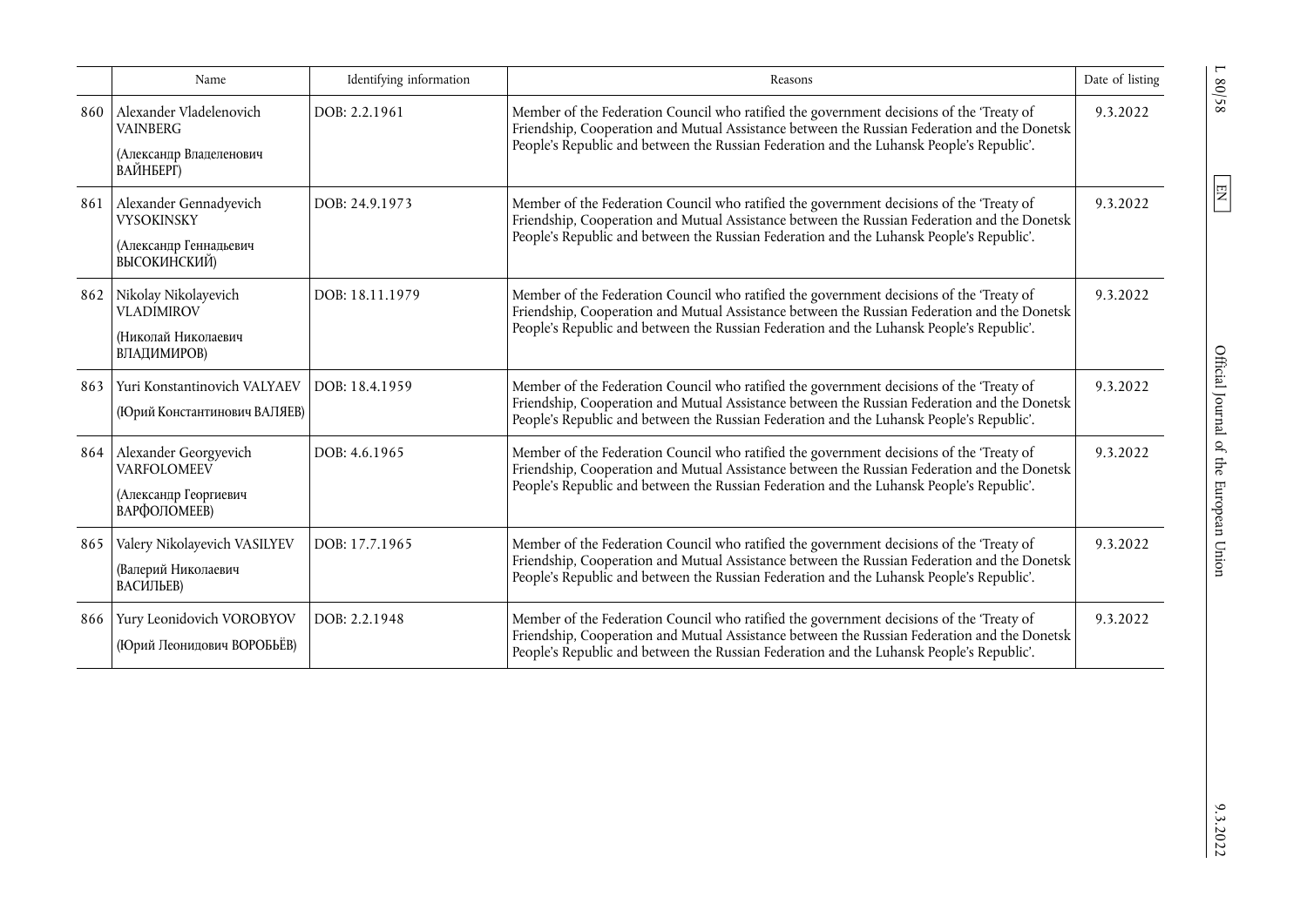|     | Name                                                                                  | Identifying information | Reasons                                                                                                                                                                                                                                                                              | Date of listing |
|-----|---------------------------------------------------------------------------------------|-------------------------|--------------------------------------------------------------------------------------------------------------------------------------------------------------------------------------------------------------------------------------------------------------------------------------|-----------------|
| 860 | Alexander Vladelenovich<br><b>VAINBERG</b><br>(Александр Владеленович<br>ВАЙНБЕРГ)    | DOB: 2.2.1961           | Member of the Federation Council who ratified the government decisions of the 'Treaty of<br>Friendship, Cooperation and Mutual Assistance between the Russian Federation and the Donetsk<br>People's Republic and between the Russian Federation and the Luhansk People's Republic'. | 9.3.2022        |
| 861 | Alexander Gennadyevich<br><b>VYSOKINSKY</b><br>(Александр Геннадьевич<br>ВЫСОКИНСКИЙ) | DOB: 24.9.1973          | Member of the Federation Council who ratified the government decisions of the 'Treaty of<br>Friendship, Cooperation and Mutual Assistance between the Russian Federation and the Donetsk<br>People's Republic and between the Russian Federation and the Luhansk People's Republic'. | 9.3.2022        |
| 862 | Nikolay Nikolayevich<br><b>VLADIMIROV</b><br>(Николай Николаевич<br>ВЛАДИМИРОВ)       | DOB: 18.11.1979         | Member of the Federation Council who ratified the government decisions of the 'Treaty of<br>Friendship, Cooperation and Mutual Assistance between the Russian Federation and the Donetsk<br>People's Republic and between the Russian Federation and the Luhansk People's Republic'. | 9.3.2022        |
| 863 | Yuri Konstantinovich VALYAEV<br>(Юрий Константинович ВАЛЯЕВ)                          | DOB: 18.4.1959          | Member of the Federation Council who ratified the government decisions of the 'Treaty of<br>Friendship, Cooperation and Mutual Assistance between the Russian Federation and the Donetsk<br>People's Republic and between the Russian Federation and the Luhansk People's Republic'. | 9.3.2022        |
| 864 | Alexander Georgyevich<br><b>VARFOLOMEEV</b><br>(Александр Георгиевич<br>ВАРФОЛОМЕЕВ)  | DOB: 4.6.1965           | Member of the Federation Council who ratified the government decisions of the 'Treaty of<br>Friendship, Cooperation and Mutual Assistance between the Russian Federation and the Donetsk<br>People's Republic and between the Russian Federation and the Luhansk People's Republic'. | 9.3.2022        |
| 865 | Valery Nikolayevich VASILYEV<br>(Валерий Николаевич<br>ВАСИЛЬЕВ)                      | DOB: 17.7.1965          | Member of the Federation Council who ratified the government decisions of the 'Treaty of<br>Friendship, Cooperation and Mutual Assistance between the Russian Federation and the Donetsk<br>People's Republic and between the Russian Federation and the Luhansk People's Republic'. | 9.3.2022        |
| 866 | Yury Leonidovich VOROBYOV<br>(Юрий Леонидович ВОРОБЬЁВ)                               | DOB: 2.2.1948           | Member of the Federation Council who ratified the government decisions of the 'Treaty of<br>Friendship, Cooperation and Mutual Assistance between the Russian Federation and the Donetsk<br>People's Republic and between the Russian Federation and the Luhansk People's Republic'. | 9.3.2022        |

 $\frac{1}{80/58}$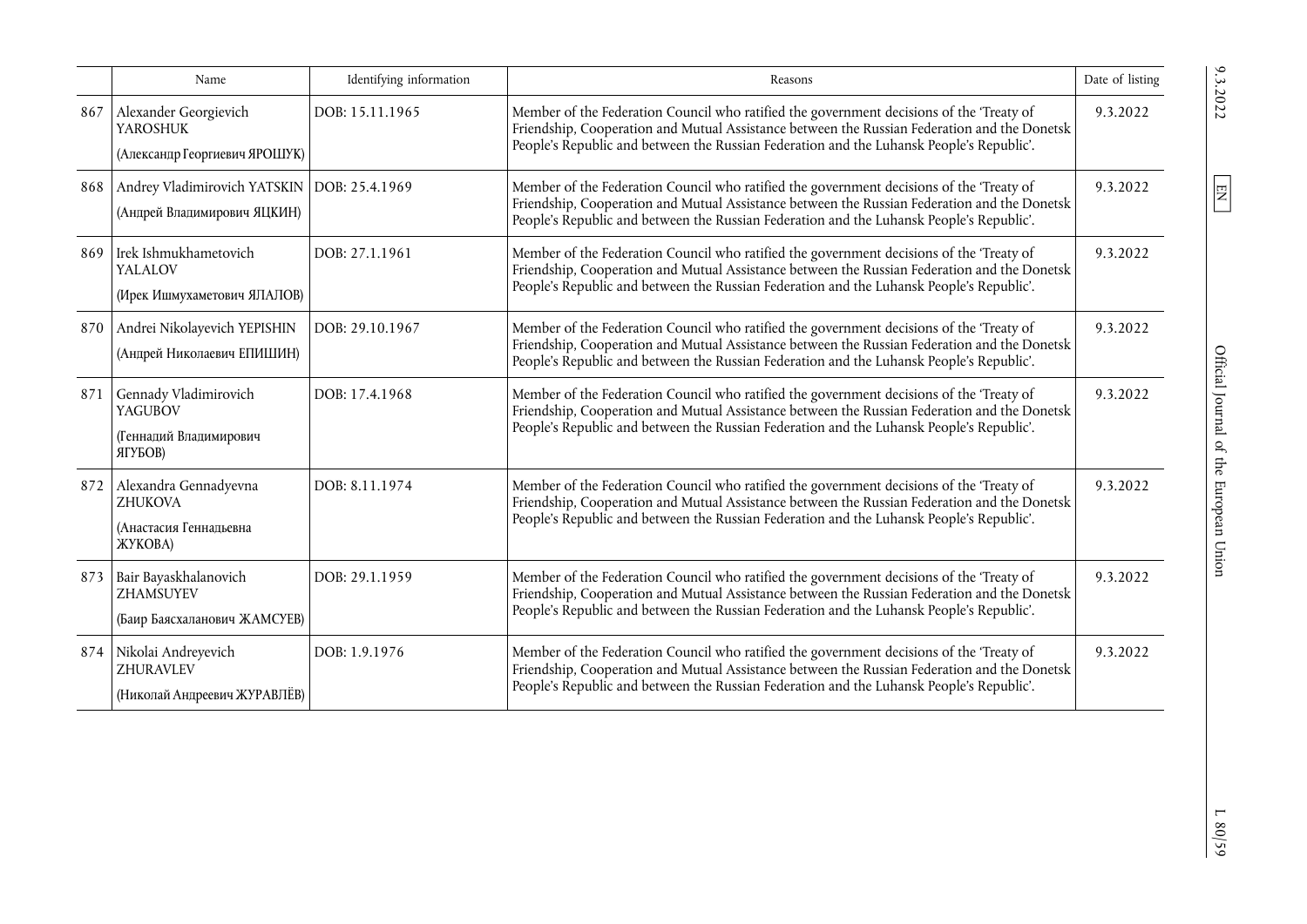|     | Name                                                                                 | Identifying information | Reasons                                                                                                                                                                                                                                                                              | Date of listing |
|-----|--------------------------------------------------------------------------------------|-------------------------|--------------------------------------------------------------------------------------------------------------------------------------------------------------------------------------------------------------------------------------------------------------------------------------|-----------------|
| 867 | Alexander Georgievich<br><b>YAROSHUK</b><br>(Александр Георгиевич ЯРОШУК)            | DOB: 15.11.1965         | Member of the Federation Council who ratified the government decisions of the 'Treaty of<br>Friendship, Cooperation and Mutual Assistance between the Russian Federation and the Donetsk<br>People's Republic and between the Russian Federation and the Luhansk People's Republic'. | 9.3.2022        |
| 868 | Andrey Vladimirovich YATSKIN   DOB: 25.4.1969<br>(Андрей Владимирович ЯЦКИН)         |                         | Member of the Federation Council who ratified the government decisions of the 'Treaty of<br>Friendship, Cooperation and Mutual Assistance between the Russian Federation and the Donetsk<br>People's Republic and between the Russian Federation and the Luhansk People's Republic'. | 9.3.2022        |
| 869 | Irek Ishmukhametovich<br>YALALOV<br>(Ирек Ишмухаметович ЯПАЛОВ)                      | DOB: 27.1.1961          | Member of the Federation Council who ratified the government decisions of the 'Treaty of<br>Friendship, Cooperation and Mutual Assistance between the Russian Federation and the Donetsk<br>People's Republic and between the Russian Federation and the Luhansk People's Republic'. | 9.3.2022        |
|     | 870 Andrei Nikolayevich YEPISHIN<br>(Андрей Николаевич ЕПИШИН)                       | DOB: 29.10.1967         | Member of the Federation Council who ratified the government decisions of the 'Treaty of<br>Friendship, Cooperation and Mutual Assistance between the Russian Federation and the Donetsk<br>People's Republic and between the Russian Federation and the Luhansk People's Republic'. | 9.3.2022        |
| 871 | Gennady Vladimirovich<br><b>YAGUBOV</b><br>(Геннадий Владимирович<br>ЯГУБОВ)         | DOB: 17.4.1968          | Member of the Federation Council who ratified the government decisions of the 'Treaty of<br>Friendship, Cooperation and Mutual Assistance between the Russian Federation and the Donetsk<br>People's Republic and between the Russian Federation and the Luhansk People's Republic'. | 9.3.2022        |
| 872 | Alexandra Gennadyevna<br><b>ZHUKOVA</b><br>(Анастасия Геннадьевна<br><b>XYKOBA</b> ) | DOB: 8.11.1974          | Member of the Federation Council who ratified the government decisions of the 'Treaty of<br>Friendship, Cooperation and Mutual Assistance between the Russian Federation and the Donetsk<br>People's Republic and between the Russian Federation and the Luhansk People's Republic'. | 9.3.2022        |
| 873 | Bair Bayaskhalanovich<br>ZHAMSUYEV<br>(Баир Баясхаланович ЖАМСУЕВ)                   | DOB: 29.1.1959          | Member of the Federation Council who ratified the government decisions of the 'Treaty of<br>Friendship, Cooperation and Mutual Assistance between the Russian Federation and the Donetsk<br>People's Republic and between the Russian Federation and the Luhansk People's Republic'. | 9.3.2022        |
| 874 | Nikolai Andreyevich<br>ZHURAVLEV<br>(Николай Андреевич ЖУРАВЛЁВ)                     | DOB: 1.9.1976           | Member of the Federation Council who ratified the government decisions of the 'Treaty of<br>Friendship, Cooperation and Mutual Assistance between the Russian Federation and the Donetsk<br>People's Republic and between the Russian Federation and the Luhansk People's Republic'. | 9.3.2022        |

 $\boxed{\text{EN}}$ 

 $L$  80/59